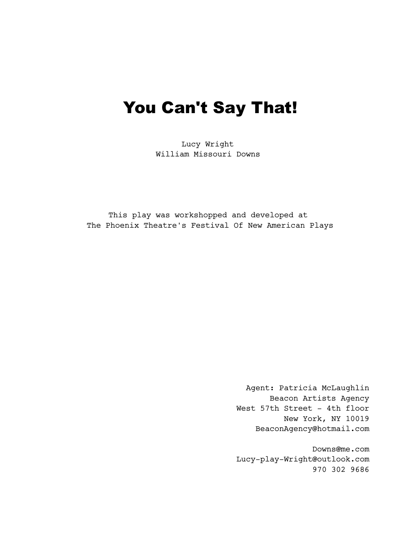# You Can't Say That!

Lucy Wright William Missouri Downs

This play was workshopped and developed at The Phoenix Theatre's Festival Of New American Plays

> Agent: Patricia McLaughlin Beacon Artists Agency West 57th Street - 4th floor New York, NY 10019 BeaconAgency@hotmail.com

> Downs@me.com Lucy-play-Wright@outlook.com 970 302 9686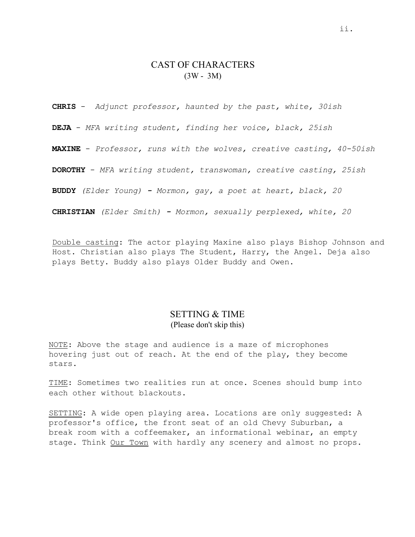# CAST OF CHARACTERS (3W - 3M)

**CHRIS** - *Adjunct professor, haunted by the past, white, 30ish*

**DEJA** - *MFA writing student, finding her voice, black, 25ish*

**MAXINE** - *Professor, runs with the wolves, creative casting, 40-50ish*

**DOROTHY** - *MFA writing student, transwoman, creative casting, 25ish*

**BUDDY** *(Elder Young) - Mormon, gay, a poet at heart, black, 20*

**CHRISTIAN** *(Elder Smith) - Mormon, sexually perplexed, white, 20*

Double casting: The actor playing Maxine also plays Bishop Johnson and Host. Christian also plays The Student, Harry, the Angel. Deja also plays Betty. Buddy also plays Older Buddy and Owen.

# SETTING & TIME (Please don't skip this)

NOTE: Above the stage and audience is a maze of microphones hovering just out of reach. At the end of the play, they become stars.

TIME: Sometimes two realities run at once. Scenes should bump into each other without blackouts.

SETTING: A wide open playing area. Locations are only suggested: A professor's office, the front seat of an old Chevy Suburban, a break room with a coffeemaker, an informational webinar, an empty stage. Think Our Town with hardly any scenery and almost no props.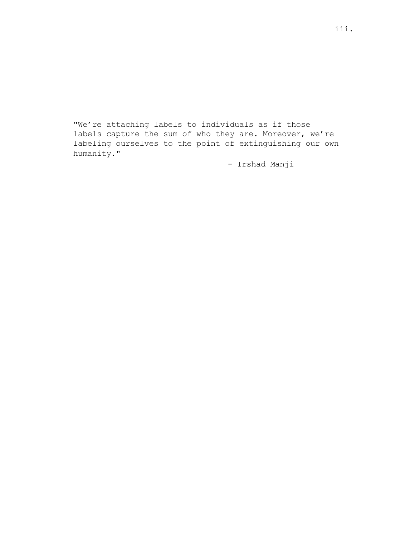"We're attaching labels to individuals as if those labels capture the sum of who they are. Moreover, we're labeling ourselves to the point of extinguishing our own humanity."

- Irshad Manji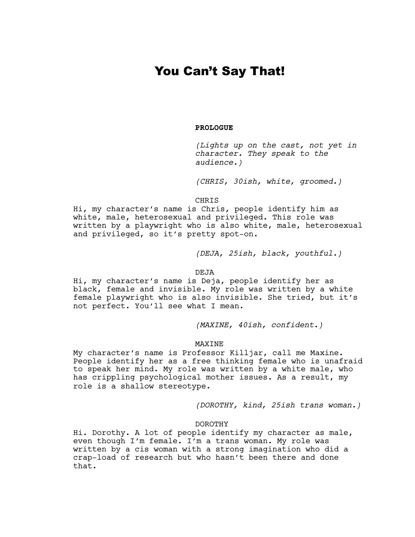# You Can't Say That!

## **PROLOGUE**

*(Lights up on the cast, not yet in character. They speak to the audience.)*

*(CHRIS, 30ish, white, groomed.)*

CHRIS

Hi, my character's name is Chris, people identify him as white, male, heterosexual and privileged. This role was written by a playwright who is also white, male, heterosexual and privileged, so it's pretty spot-on.

*(DEJA, 25ish, black, youthful.)*

## DEJA

Hi, my character's name is Deja, people identify her as black, female and invisible. My role was written by a white female playwright who is also invisible. She tried, but it's not perfect. You'll see what I mean.

*(MAXINE, 40ish, confident.)*

## MAXINE

My character's name is Professor Killjar, call me Maxine. People identify her as a free thinking female who is unafraid to speak her mind. My role was written by a white male, who has crippling psychological mother issues. As a result, my role is a shallow stereotype.

*(DOROTHY, kind, 25ish trans woman.)*

#### DOROTHY

Hi. Dorothy. A lot of people identify my character as male, even though I'm female. I'm a trans woman. My role was written by a cis woman with a strong imagination who did a crap-load of research but who hasn't been there and done that.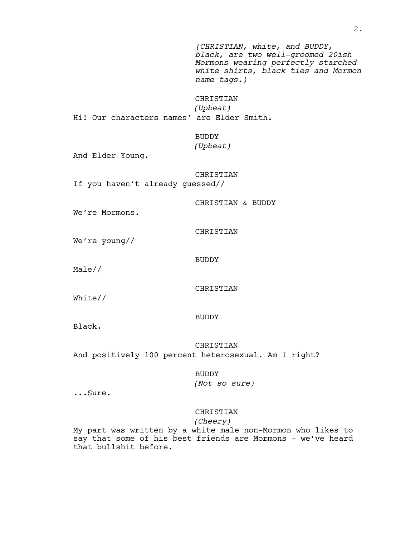*(CHRISTIAN, white, and BUDDY, black, are two well-groomed 20ish Mormons wearing perfectly starched white shirts, black ties and Mormon name tags.)*

## CHRISTIAN *(Upbeat)*

Hi! Our characters names' are Elder Smith.

BUDDY

*(Upbeat)*

And Elder Young.

CHRISTIAN If you haven't already guessed//

CHRISTIAN & BUDDY

We're Mormons.

CHRISTIAN

CHRISTIAN

We're young//

BUDDY

Male//

White//

## BUDDY

Black.

CHRISTIAN And positively 100 percent heterosexual. Am I right?

BUDDY

*(Not so sure)*

...Sure.

## CHRISTIAN

## *(Cheery)*

My part was written by a white male non-Mormon who likes to say that some of his best friends are Mormons - we've heard that bullshit before.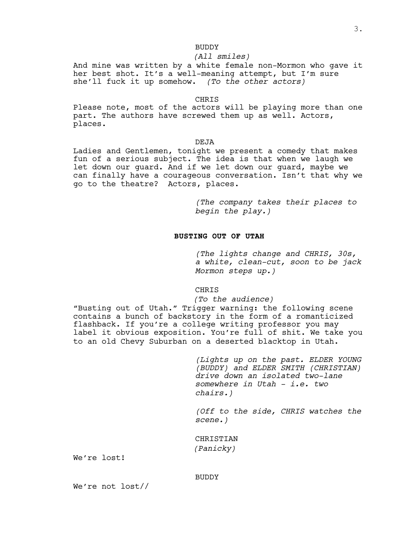## BUDDY

## *(All smiles)*

And mine was written by a white female non-Mormon who gave it her best shot. It's a well-meaning attempt, but I'm sure she'll fuck it up somehow. *(To the other actors)*

#### CHRIS

Please note, most of the actors will be playing more than one part. The authors have screwed them up as well. Actors, places.

## DEJA

Ladies and Gentlemen, tonight we present a comedy that makes fun of a serious subject. The idea is that when we laugh we let down our guard. And if we let down our guard, maybe we can finally have a courageous conversation. Isn't that why we go to the theatre? Actors, places.

> *(The company takes their places to begin the play.)*

## **BUSTING OUT OF UTAH**

*(The lights change and CHRIS, 30s, a white, clean-cut, soon to be jack Mormon steps up.)*

#### CHRIS

#### *(To the audience)*

"Busting out of Utah." Trigger warning: the following scene contains a bunch of backstory in the form of a romanticized flashback. If you're a college writing professor you may label it obvious exposition. You're full of shit. We take you to an old Chevy Suburban on a deserted blacktop in Utah.

> *(Lights up on the past. ELDER YOUNG (BUDDY) and ELDER SMITH (CHRISTIAN) drive down an isolated two-lane somewhere in Utah - i.e. two chairs.)*

> *(Off to the side, CHRIS watches the scene.)*

CHRISTIAN *(Panicky)*

We're lost!

#### BUDDY

We're not lost//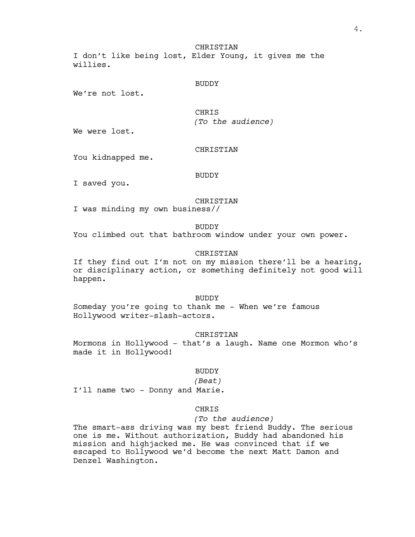**CHRISTIAN** I don't like being lost, Elder Young, it gives me the willies.

## BUDDY

We're not lost.

CHRIS *(To the audience)*

We were lost.

## CHRISTIAN

You kidnapped me.

## BUDDY

I saved you.

## CHRISTIAN

I was minding my own business//

BUDDY

You climbed out that bathroom window under your own power.

## CHRISTIAN

If they find out I'm not on my mission there'll be a hearing, or disciplinary action, or something definitely not good will happen.

BUDDY

Someday you're going to thank me - When we're famous Hollywood writer-slash-actors.

#### CHRISTIAN

Mormons in Hollywood – that's a laugh. Name one Mormon who's made it in Hollywood!

## BUDDY

#### *(Beat)*

I'll name two - Donny and Marie.

## CHRIS

*(To the audience)*

The smart-ass driving was my best friend Buddy. The serious one is me. Without authorization, Buddy had abandoned his mission and highjacked me. He was convinced that if we escaped to Hollywood we'd become the next Matt Damon and Denzel Washington.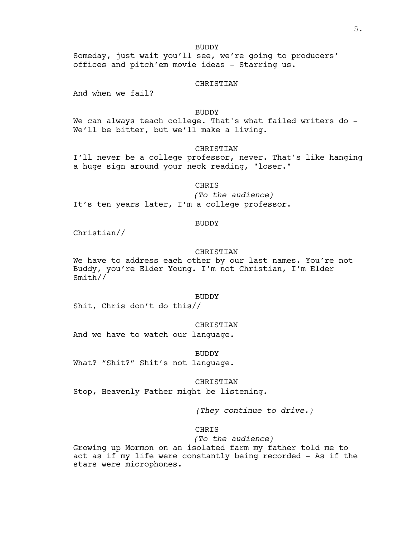## BUDDY

Someday, just wait you'll see, we're going to producers' offices and pitch'em movie ideas - Starring us.

#### CHRISTIAN

And when we fail?

## BUDDY

We can always teach college. That's what failed writers do -We'll be bitter, but we'll make a living.

#### CHRISTIAN

I'll never be a college professor, never. That's like hanging a huge sign around your neck reading, "loser."

#### CHRIS

*(To the audience)* It's ten years later, I'm a college professor.

#### BUDDY

Christian//

#### CHRISTIAN

We have to address each other by our last names. You're not Buddy, you're Elder Young. I'm not Christian, I'm Elder Smith//

#### BUDDY

Shit, Chris don't do this//

#### CHRISTIAN

And we have to watch our language.

#### BUDDY

What? "Shit?" Shit's not language.

#### CHRISTIAN

Stop, Heavenly Father might be listening.

*(They continue to drive.)*

## CHRIS

*(To the audience)* Growing up Mormon on an isolated farm my father told me to act as if my life were constantly being recorded - As if the stars were microphones.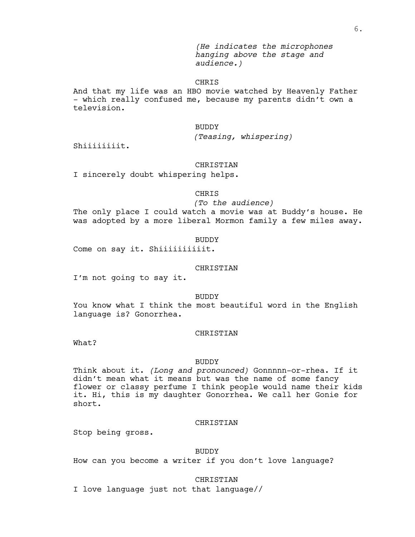*(He indicates the microphones hanging above the stage and audience.)*

## CHRIS

And that my life was an HBO movie watched by Heavenly Father – which really confused me, because my parents didn't own a television.

## BUDDY

*(Teasing, whispering)*

Shiiiiiiiit.

#### CHRISTIAN

I sincerely doubt whispering helps.

## **CHRIS**

#### *(To the audience)*

The only place I could watch a movie was at Buddy's house. He was adopted by a more liberal Mormon family a few miles away.

#### BUDDY

Come on say it. Shiiiiiiiiiiit.

## CHRISTIAN

I'm not going to say it.

#### BUDDY

You know what I think the most beautiful word in the English language is? Gonorrhea.

#### **CHRISTIAN**

What?

#### BUDDY

Think about it. *(Long and pronounced)* Gonnnnn-or-rhea. If it didn't mean what it means but was the name of some fancy flower or classy perfume I think people would name their kids it. Hi, this is my daughter Gonorrhea. We call her Gonie for short.

#### CHRISTIAN

Stop being gross.

## BUDDY

How can you become a writer if you don't love language?

#### CHRISTIAN

I love language just not that language//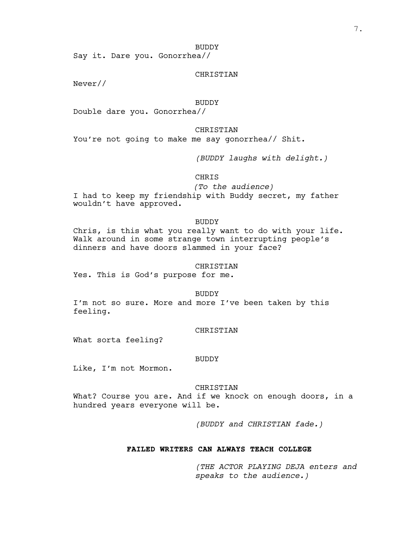#### BUDDY

Say it. Dare you. Gonorrhea//

## CHRISTIAN

Never//

## BUDDY

Double dare you. Gonorrhea//

## CHRISTIAN

You're not going to make me say gonorrhea// Shit.

*(BUDDY laughs with delight.)*

**CHRIS** 

*(To the audience)*

I had to keep my friendship with Buddy secret, my father wouldn't have approved.

#### BUDDY

Chris, is this what you really want to do with your life.<br>Walk around in some strange town interrupting people's dinners and have doors slammed in your face?

#### CHRISTIAN

Yes. This is God's purpose for me.

BUDDY

I'm not so sure. More and more I've been taken by this feeling.

#### CHRISTIAN

What sorta feeling?

## BUDDY

Like, I'm not Mormon.

#### CHRISTIAN

What? Course you are. And if we knock on enough doors, in a hundred years everyone will be.

*(BUDDY and CHRISTIAN fade.)*

#### **FAILED WRITERS CAN ALWAYS TEACH COLLEGE**

*(THE ACTOR PLAYING DEJA enters and speaks to the audience.)*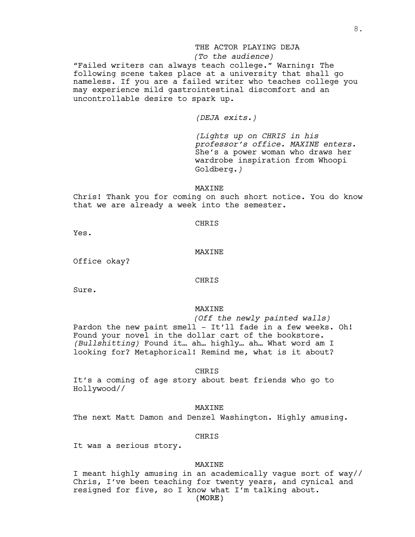## THE ACTOR PLAYING DEJA

## *(To the audience)*

"Failed writers can always teach college." Warning: The following scene takes place at a university that shall go nameless. If you are a failed writer who teaches college you may experience mild gastrointestinal discomfort and an uncontrollable desire to spark up.

*(DEJA exits.)*

*(Lights up on CHRIS in his professor's office. MAXINE enters.* She's a power woman who draws her wardrobe inspiration from Whoopi Goldberg.*)*

#### MAXINE

Chris! Thank you for coming on such short notice. You do know that we are already a week into the semester.

#### CHRIS

Yes.

#### MAXINE

Office okay?

#### CHRIS

Sure.

## MAXINE

*(Off the newly painted walls)* Pardon the new paint smell - It'll fade in a few weeks. Oh! Found your novel in the dollar cart of the bookstore. *(Bullshitting)* Found it… ah… highly… ah… What word am I looking for? Metaphorical! Remind me, what is it about?

CHRIS

It's a coming of age story about best friends who go to Hollywood//

MAXINE

The next Matt Damon and Denzel Washington. Highly amusing.

#### CHRIS

It was a serious story.

## MAXINE

(MORE) I meant highly amusing in an academically vague sort of way// Chris, I've been teaching for twenty years, and cynical and resigned for five, so I know what I'm talking about.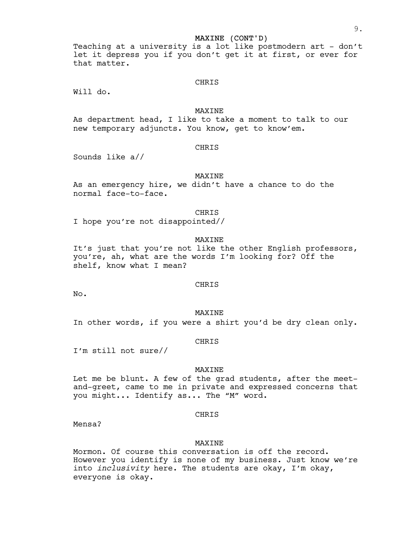## MAXINE (CONT'D)

Teaching at a university is a lot like postmodern art - don't let it depress you if you don't get it at first, or ever for that matter.

## CHRIS

Will do.

## MAXINE

As department head, I like to take a moment to talk to our new temporary adjuncts. You know, get to know'em.

#### CHRIS

Sounds like a//

## MAXINE

As an emergency hire, we didn't have a chance to do the normal face-to-face.

## CHRIS

I hope you're not disappointed//

## MAXINE

It's just that you're not like the other English professors, you're, ah, what are the words I'm looking for? Off the shelf, know what I mean?

#### CHRIS

No.

#### MAXINE

In other words, if you were a shirt you'd be dry clean only.

#### CHRIS

I'm still not sure//

#### MAXINE

Let me be blunt. A few of the grad students, after the meet-<br>and-greet, came to me in private and expressed concerns that you might... Identify as... The "M" word.

#### CHRIS

Mensa?

#### **MAXTNE**

Mormon. Of course this conversation is off the record. However you identify is none of my business. Just know we're into *inclusivity* here. The students are okay, I'm okay, everyone is okay.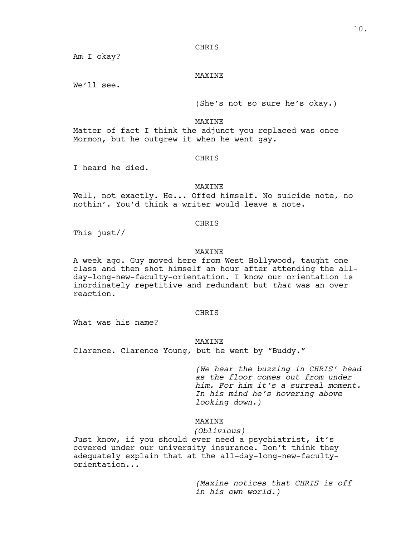## **CHRIS**

Am I okay?

## MAXINE

We'll see.

(She's not so sure he's okay.)

#### MAXINE

Matter of fact I think the adjunct you replaced was once Mormon, but he outgrew it when he went gay.

## **CHRIS**

I heard he died.

## MAXINE

Well, not exactly. He... Offed himself. No suicide note, no nothin'. You'd think a writer would leave a note.

## CHRIS

This just//

#### MAXINE

A week ago. Guy moved here from West Hollywood, taught one class and then shot himself an hour after attending the allday-long-new-faculty-orientation. I know our orientation is inordinately repetitive and redundant but *that* was an over reaction.

#### CHRIS

What was his name?

## MAXINE

Clarence. Clarence Young, but he went by "Buddy."

*(We hear the buzzing in CHRIS' head as the floor comes out from under him. For him it's a surreal moment. In his mind he's hovering above looking down.)*

## MAXINE

## *(Oblivious)*

Just know, if you should ever need a psychiatrist, it's covered under our university insurance. Don't think they adequately explain that at the all-day-long-new-facultyorientation...

> *(Maxine notices that CHRIS is off in his own world.)*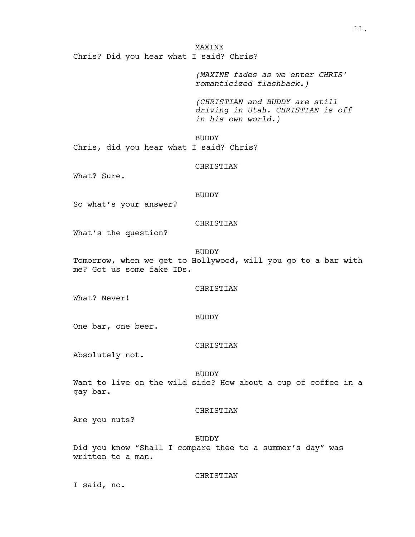**MAXINE** Chris? Did you hear what I said? Chris?

> *(MAXINE fades as we enter CHRIS' romanticized flashback.)*

*(CHRISTIAN and BUDDY are still driving in Utah. CHRISTIAN is off in his own world.)*

BUDDY

Chris, did you hear what I said? Chris?

CHRISTIAN

What? Sure.

## BUDDY

So what's your answer?

## CHRISTIAN

What's the question?

BUDDY

Tomorrow, when we get to Hollywood, will you go to a bar with me? Got us some fake IDs.

#### CHRISTIAN

What? Never!

#### BUDDY

One bar, one beer.

#### CHRISTIAN

Absolutely not.

#### BUDDY

Want to live on the wild side? How about a cup of coffee in a gay bar.

## CHRISTIAN

Are you nuts?

#### BUDDY

Did you know "Shall I compare thee to a summer's day" was written to a man.

#### CHRISTIAN

I said, no.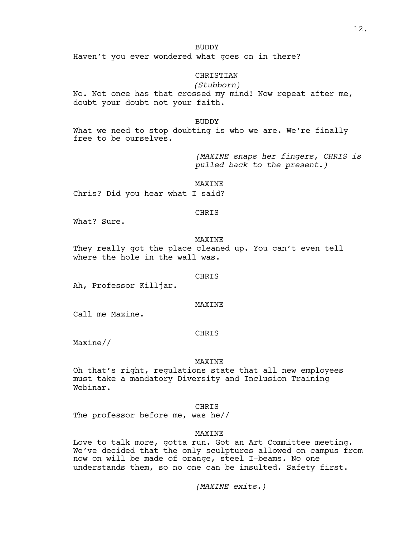## BUDDY

Haven't you ever wondered what goes on in there?

## CHRISTIAN

*(Stubborn)* No. Not once has that crossed my mind! Now repeat after me, doubt your doubt not your faith.

BUDDY

What we need to stop doubting is who we are. We're finally free to be ourselves.

> *(MAXINE snaps her fingers, CHRIS is pulled back to the present.)*

MAXINE

Chris? Did you hear what I said?

## CHRIS

What? Sure.

## MAXINE

They really got the place cleaned up. You can't even tell where the hole in the wall was.

**CHRIS** 

Ah, Professor Killjar.

**MAXINE** 

Call me Maxine.

#### **CHRTS**

Maxine//

#### MAXINE

Oh that's right, regulations state that all new employees must take a mandatory Diversity and Inclusion Training Webinar.

## CHRIS

The professor before me, was he//

## MAXINE

Love to talk more, gotta run. Got an Art Committee meeting. We've decided that the only sculptures allowed on campus from now on will be made of orange, steel I-beams. No one understands them, so no one can be insulted. Safety first.

*(MAXINE exits.)*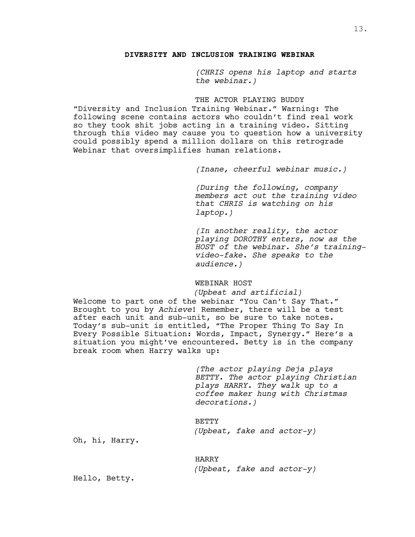## **DIVERSITY AND INCLUSION TRAINING WEBINAR**

*(CHRIS opens his laptop and starts the webinar.)*

## THE ACTOR PLAYING BUDDY

"Diversity and Inclusion Training Webinar." Warning: The following scene contains actors who couldn't find real work so they took shit jobs acting in a training video. Sitting through this video may cause you to question how a university could possibly spend a million dollars on this retrograde Webinar that oversimplifies human relations.

*(Inane, cheerful webinar music.)*

*(During the following, company members act out the training video that CHRIS is watching on his laptop.)*

*(In another reality, the actor playing DOROTHY enters, now as the HOST of the webinar. She's training- video-fake. She speaks to the audience.)*

## WEBINAR HOST

*(Upbeat and artificial)* Welcome to part one of the webinar "You Can't Say That."<br>Brought to you by *Achieve*! Remember, there will be a test after each unit and sub-unit, so be sure to take notes.<br>Today's sub-unit is entitled, "The Proper Thing To Say In Every Possible Situation: Words, Impact, Synergy." Here's a situation you might've encountered. Betty is in the company break room when Harry walks up:

> *(The actor playing Deja plays BETTY. The actor playing Christian plays HARRY. They walk up to a coffee maker hung with Christmas decorations.)*

BETTY *(Upbeat, fake and actor-y)*

Oh, hi, Harry.

HARRY *(Upbeat, fake and actor-y)*

Hello, Betty.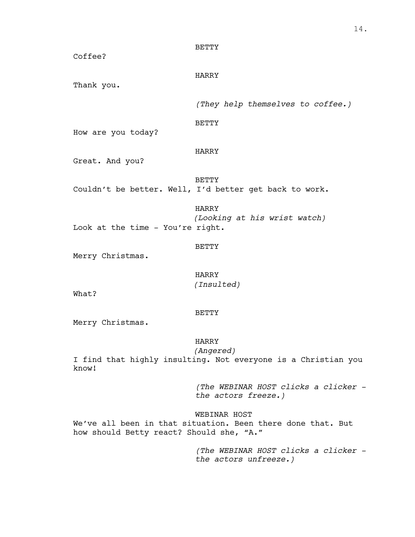| Coffee?                          | <b>BETTY</b>                                                           |
|----------------------------------|------------------------------------------------------------------------|
| Thank you.                       | HARRY                                                                  |
|                                  | (They help themselves to coffee.)                                      |
| How are you today?               | <b>BETTY</b>                                                           |
| Great. And you?                  | <b>HARRY</b>                                                           |
|                                  | <b>BETTY</b><br>Couldn't be better. Well, I'd better get back to work. |
| Look at the time - You're right. | <b>HARRY</b><br>(Looking at his wrist watch)                           |
| Merry Christmas.                 | <b>BETTY</b>                                                           |
| What?                            | <b>HARRY</b><br>(Insulted)                                             |
| Merry Christmas.                 | <b>BETTY</b>                                                           |

## HARRY

*(Angered)* I find that highly insulting. Not everyone is a Christian you know!

> *(The WEBINAR HOST clicks a clicker the actors freeze.)*

# WEBINAR HOST

We've all been in that situation. Been there done that. But how should Betty react? Should she, "A."

> *(The WEBINAR HOST clicks a clicker the actors unfreeze.)*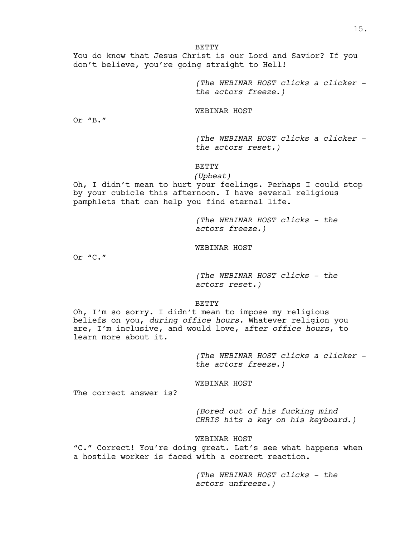**BETTY** 

You do know that Jesus Christ is our Lord and Savior? If you don't believe, you're going straight to Hell!

> *(The WEBINAR HOST clicks a clicker the actors freeze.)*

WEBINAR HOST

Or "B."

*(The WEBINAR HOST clicks a clicker the actors reset.)*

**BETTY** 

*(Upbeat)*

Oh, I didn't mean to hurt your feelings. Perhaps I could stop by your cubicle this afternoon. I have several religious pamphlets that can help you find eternal life.

> *(The WEBINAR HOST clicks - the actors freeze.)*

WEBINAR HOST

Or "C."

*(The WEBINAR HOST clicks - the actors reset.)*

BETTY

Oh, I'm so sorry. I didn't mean to impose my religious beliefs on you, *during office hours*. Whatever religion you are, I'm inclusive, and would love, *after office hours*, to learn more about it.

> *(The WEBINAR HOST clicks a clicker the actors freeze.)*

WEBINAR HOST

The correct answer is?

*(Bored out of his fucking mind CHRIS hits a key on his keyboard.)*

WEBINAR HOST

"C." Correct! You're doing great. Let's see what happens when a hostile worker is faced with a correct reaction.

> *(The WEBINAR HOST clicks - the actors unfreeze.)*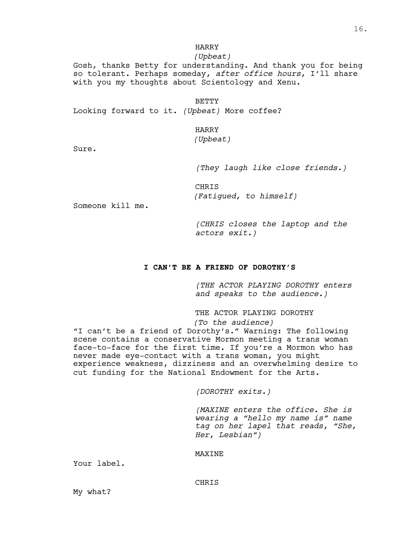## HARRY

## *(Upbeat)*

Gosh, thanks Betty for understanding. And thank you for being so tolerant. Perhaps someday, *after office hours*, I'll share with you my thoughts about Scientology and Xenu.

BETTY

Looking forward to it. *(Upbeat)* More coffee?

HARRY

*(Upbeat)*

Sure.

*(They laugh like close friends.)*

CHRIS *(Fatigued, to himself)*

Someone kill me.

*(CHRIS closes the laptop and the actors exit.)*

## **I CAN'T BE A FRIEND OF DOROTHY'S**

*(THE ACTOR PLAYING DOROTHY enters and speaks to the audience.)*

THE ACTOR PLAYING DOROTHY

*(To the audience)*

"I can't be a friend of Dorothy's." Warning: The following scene contains a conservative Mormon meeting a trans woman face-to-face for the first time. If you're a Mormon who has never made eye-contact with a trans woman, you might experience weakness, dizziness and an overwhelming desire to cut funding for the National Endowment for the Arts.

*(DOROTHY exits.)*

*(MAXINE enters the office. She is wearing a "hello my name is" name tag on her lapel that reads, "She, Her, Lesbian")*

## **MAXINE**

Your label.

## CHRIS

My what?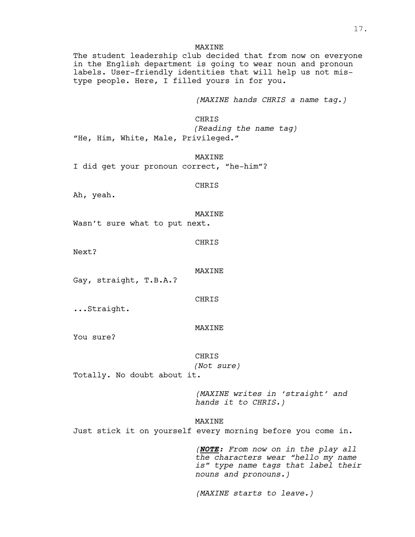## **MAXINE**

The student leadership club decided that from now on everyone in the English department is going to wear noun and pronoun labels. User-friendly identities that will help us not mistype people. Here, I filled yours in for you.

*(MAXINE hands CHRIS a name tag.)*

CHRIS *(Reading the name tag)* "He, Him, White, Male, Privileged."

MAXINE I did get your pronoun correct, "he-him"?

CHRIS

Ah, yeah.

MAXINE

Wasn't sure what to put next.

CHRIS

Next?

MAXINE

Gay, straight, T.B.A.?

CHRIS

...Straight.

MAXINE

You sure?

CHRIS

*(Not sure)*

Totally. No doubt about it.

*(MAXINE writes in 'straight' and hands it to CHRIS.)*

MAXINE

Just stick it on yourself every morning before you come in.

*(NOTE: From now on in the play all the characters wear "hello my name is" type name tags that label their nouns and pronouns.)*

*(MAXINE starts to leave.)*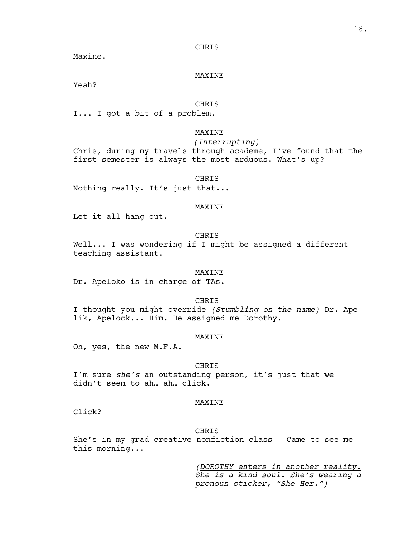#### **CHRIS**

Maxine.

## MAXINE

Yeah?

## CHRIS

I... I got a bit of a problem.

#### MAXINE

*(Interrupting)*

Chris, during my travels through academe, I've found that the first semester is always the most arduous. What's up?

#### CHRIS

Nothing really. It's just that...

#### MAXINE

Let it all hang out.

## CHRIS

Well... I was wondering if I might be assigned a different teaching assistant.

## MAXINE

Dr. Apeloko is in charge of TAs.

#### CHRIS

I thought you might override *(Stumbling on the name)* Dr. Apelik, Apelock... Him. He assigned me Dorothy.

## **MAXTNE**

Oh, yes, the new M.F.A.

## CHRIS

I'm sure *she's* an outstanding person, it's just that we didn't seem to ah… ah… click.

## MAXINE

Click?

#### CHRIS

She's in my grad creative nonfiction class - Came to see me this morning...

> *(DOROTHY enters in another reality. She is <sup>a</sup> kind soul. She's wearing <sup>a</sup> pronoun sticker, "She-Her.")*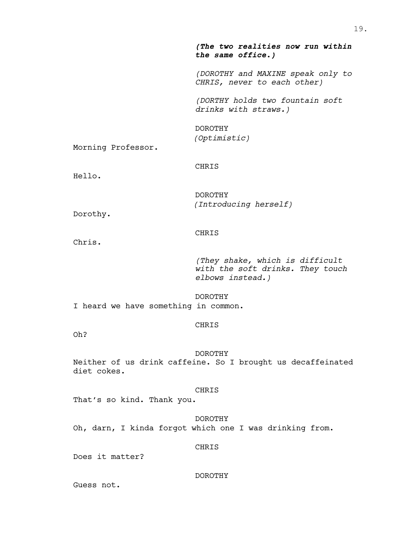|                                      | (The two realities now run within<br>the same office.)                                  |
|--------------------------------------|-----------------------------------------------------------------------------------------|
|                                      | (DOROTHY and MAXINE speak only to<br>CHRIS, never to each other)                        |
|                                      | (DORTHY holds two fountain soft<br>drinks with straws.)                                 |
| Morning Professor.                   | <b>DOROTHY</b><br>(Optimistic)                                                          |
| Hello.                               | CHRIS                                                                                   |
| Dorothy.                             | <b>DOROTHY</b><br>(Introducing herself)                                                 |
| Chris.                               | <b>CHRIS</b>                                                                            |
|                                      | (They shake, which is difficult<br>with the soft drinks. They touch<br>elbows instead.) |
| I heard we have something in common. | <b>DOROTHY</b>                                                                          |
| Oh?                                  | CHRIS                                                                                   |
| diet cokes.                          | <b>DOROTHY</b><br>Neither of us drink caffeine. So I brought us decaffeinated           |
| That's so kind. Thank you.           | CHRIS                                                                                   |

DOROTHY

Oh, darn, I kinda forgot which one I was drinking from.

# CHRIS

Does it matter?

## DOROTHY

Guess not.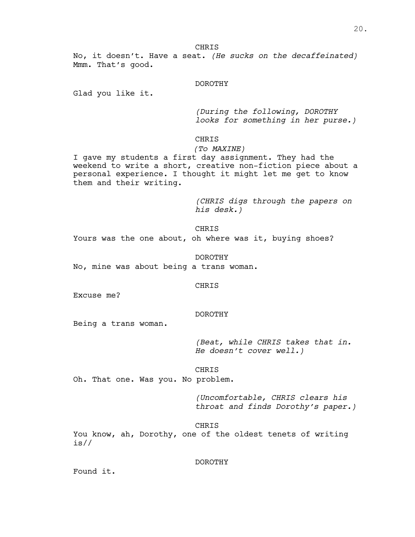**CHRIS** 

No, it doesn't. Have a seat. *(He sucks on the decaffeinated)* Mmm. That's good.

#### DOROTHY

Glad you like it.

*(During the following, DOROTHY looks for something in her purse.)*

## CHRIS

*(To MAXINE)*

I gave my students a first day assignment. They had the weekend to write a short, creative non-fiction piece about a personal experience. I thought it might let me get to know them and their writing.

> *(CHRIS digs through the papers on his desk.)*

CHRIS

Yours was the one about, oh where was it, buying shoes?

DOROTHY

No, mine was about being a trans woman.

#### CHRIS

Excuse me?

## DOROTHY

Being a trans woman.

*(Beat, while CHRIS takes that in. He doesn't cover well.)*

## CHRIS

Oh. That one. Was you. No problem.

*(Uncomfortable, CHRIS clears his throat and finds Dorothy's paper.)*

CHRIS

You know, ah, Dorothy, one of the oldest tenets of writing is//

#### DOROTHY

Found it.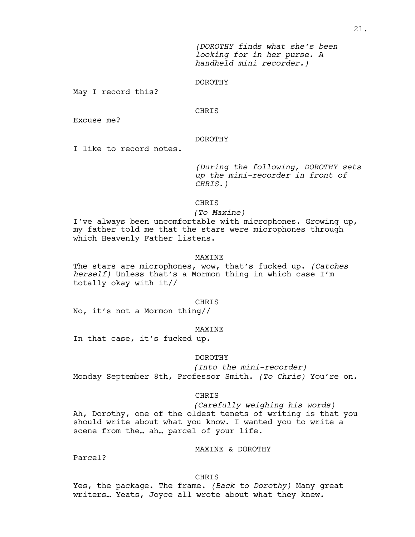*(DOROTHY finds what she's been looking for in her purse. A handheld mini recorder.)*

## DOROTHY

May I record this?

## CHRIS

Excuse me?

## DOROTHY

I like to record notes.

*(During the following, DOROTHY sets up the mini-recorder in front of CHRIS.)*

## **CHRIS**

## *(To Maxine)*

I've always been uncomfortable with microphones. Growing up, my father told me that the stars were microphones through which Heavenly Father listens.

#### MAXINE

The stars are microphones, wow, that's fucked up. *(Catches herself)* Unless that's a Mormon thing in which case I'm totally okay with it//

#### CHRIS

No, it's not a Mormon thing//

#### MAXINE

In that case, it's fucked up.

#### DOROTHY

*(Into the mini-recorder)* Monday September 8th, Professor Smith. *(To Chris)* You're on.

#### CHRIS

*(Carefully weighing his words)* Ah, Dorothy, one of the oldest tenets of writing is that you should write about what you know. I wanted you to write a scene from the… ah… parcel of your life.

#### MAXINE & DOROTHY

Parcel?

#### CHRIS

Yes, the package. The frame. *(Back to Dorothy)* Many great writers… Yeats, Joyce all wrote about what they knew.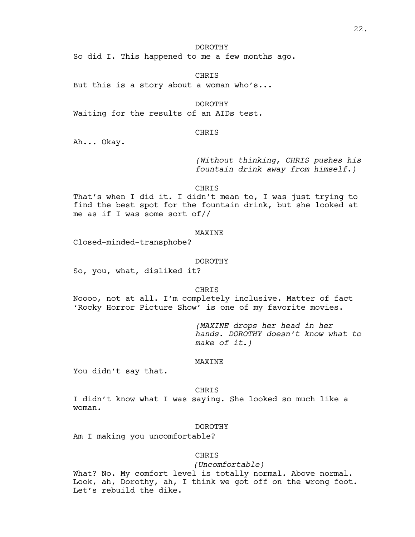#### DOROTHY

So did I. This happened to me a few months ago.

CHRIS

But this is a story about a woman who's...

DOROTHY

Waiting for the results of an AIDs test.

#### CHRIS

Ah... Okay.

*(Without thinking, CHRIS pushes his fountain drink away from himself.)*

CHRIS

That's when I did it. I didn't mean to, I was just trying to find the best spot for the fountain drink, but she looked at me as if I was some sort of//

#### MAXINE

Closed-minded-transphobe?

#### DOROTHY

So, you, what, disliked it?

CHRIS

Noooo, not at all. I'm completely inclusive. Matter of fact 'Rocky Horror Picture Show' is one of my favorite movies.

> *(MAXINE drops her head in her hands. DOROTHY doesn't know what to make of it.)*

## MAXINE

You didn't say that.

#### **CHRIS**

I didn't know what I was saying. She looked so much like a woman.

#### DOROTHY

Am I making you uncomfortable?

#### CHRIS

*(Uncomfortable)*

What? No. My comfort level is totally normal. Above normal. Look, ah, Dorothy, ah, I think we got off on the wrong foot. Let's rebuild the dike.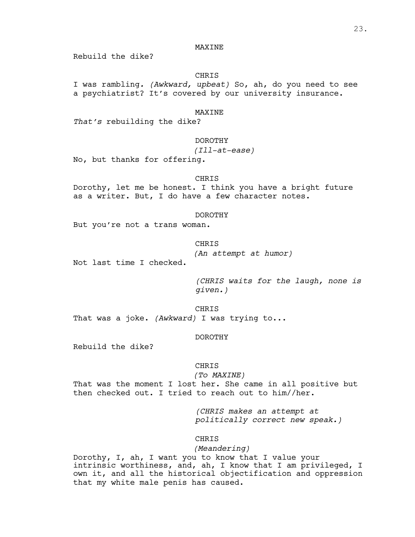## **MAXINE**

Rebuild the dike?

## CHRIS

I was rambling*. (Awkward, upbeat)* So, ah, do you need to see a psychiatrist? It's covered by our university insurance.

#### MAXINE

*That's* rebuilding the dike?

## DOROTHY

## *(Ill-at-ease)*

No, but thanks for offering.

## CHRIS

Dorothy, let me be honest. I think you have a bright future as a writer. But, I do have a few character notes.

#### DOROTHY

But you're not a trans woman.

#### CHRIS

*(An attempt at humor)*

Not last time I checked.

*(CHRIS waits for the laugh, none is given.)*

## CHRIS

That was a joke. *(Awkward)* I was trying to...

## DOROTHY

Rebuild the dike?

## CHRIS

*(To MAXINE)*

That was the moment I lost her. She came in all positive but then checked out. I tried to reach out to him//her.

> *(CHRIS makes an attempt at politically correct new speak.)*

#### CHRIS

#### *(Meandering)*

Dorothy, I, ah, I want you to know that I value your intrinsic worthiness, and, ah, I know that I am privileged, I own it, and all the historical objectification and oppression that my white male penis has caused.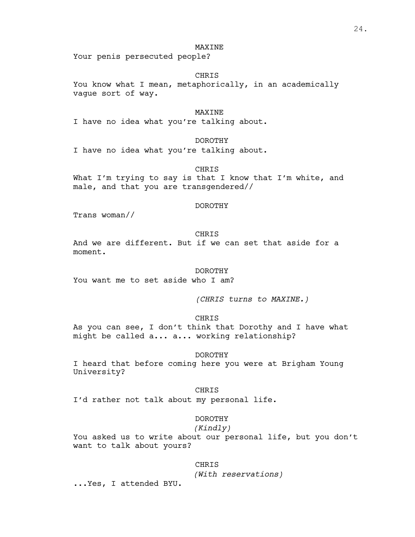#### **MAXINE**

Your penis persecuted people?

CHRIS

You know what I mean, metaphorically, in an academically vague sort of way.

## MAXINE

I have no idea what you're talking about.

## DOROTHY

I have no idea what you're talking about.

CHRIS

What I'm trying to say is that I know that I'm white, and male, and that you are transgendered//

#### DOROTHY

Trans woman//

## CHRIS

And we are different. But if we can set that aside for a moment.

#### DOROTHY

You want me to set aside who I am?

*(CHRIS turns to MAXINE.)*

## CHRIS

As you can see, I don't think that Dorothy and I have what might be called a... a... working relationship?

#### DOROTHY

I heard that before coming here you were at Brigham Young University?

#### CHRIS

I'd rather not talk about my personal life.

## DOROTHY

## *(Kindly)*

You asked us to write about our personal life, but you don't want to talk about yours?

#### CHRIS

*(With reservations)*

...Yes, I attended BYU.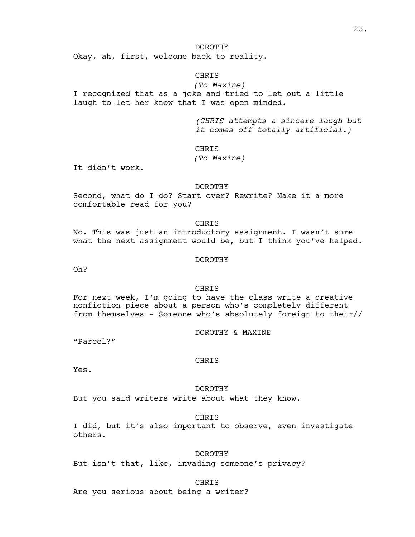#### DOROTHY

Okay, ah, first, welcome back to reality.

## CHRIS

*(To Maxine)* I recognized that as a joke and tried to let out a little laugh to let her know that I was open minded.

> *(CHRIS attempts a sincere laugh but it comes off totally artificial.)*

#### **CHRIS**

## *(To Maxine)*

It didn't work.

#### DOROTHY

Second, what do I do? Start over? Rewrite? Make it a more comfortable read for you?

#### CHRIS

No. This was just an introductory assignment. I wasn't sure what the next assignment would be, but I think you've helped.

## DOROTHY

Oh?

#### CHRIS

For next week, I'm going to have the class write a creative nonfiction piece about a person who's completely different from themselves - Someone who's absolutely foreign to their//

DOROTHY & MAXINE

"Parcel?"

#### **CHRIS**

Yes.

#### DOROTHY

But you said writers write about what they know.

## CHRIS

I did, but it's also important to observe, even investigate others.

#### DOROTHY

But isn't that, like, invading someone's privacy?

#### CHRIS

Are you serious about being a writer?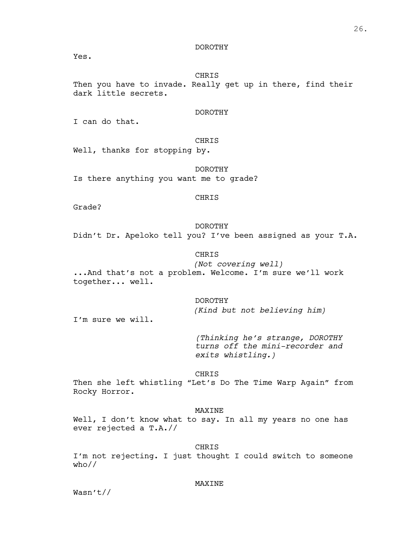#### DOROTHY

Yes.

CHRIS

Then you have to invade. Really get up in there, find their dark little secrets.

## DOROTHY

I can do that.

## CHRIS

Well, thanks for stopping by.

## DOROTHY

Is there anything you want me to grade?

#### CHRIS

Grade?

## DOROTHY

Didn't Dr. Apeloko tell you? I've been assigned as your T.A.

## CHRIS

*(Not covering well)* ...And that's not a problem. Welcome. I'm sure we'll work together... well.

## DOROTHY

*(Kind but not believing him)*

I'm sure we will.

*(Thinking he's strange, DOROTHY turns off the mini-recorder and exits whistling.)*

#### CHRIS

Then she left whistling "Let's Do The Time Warp Again" from Rocky Horror.

#### MAXINE

Well, I don't know what to say. In all my years no one has ever rejected a T.A.//

#### CHRIS

I'm not rejecting. I just thought I could switch to someone who//

#### **MAXINE**

Wasn't//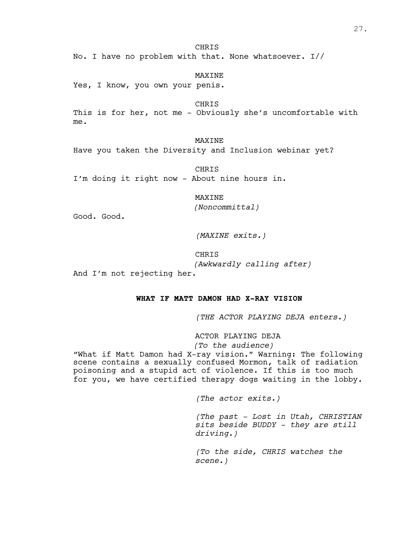**CHRIS** 

No. I have no problem with that. None whatsoever. I//

MAXINE Yes, I know, you own your penis.

**CHRIS** 

This is for her, not me - Obviously she's uncomfortable with me.

MAXINE

Have you taken the Diversity and Inclusion webinar yet?

CHRIS I'm doing it right now - About nine hours in.

MAXINE

*(Noncommittal)*

Good. Good.

*(MAXINE exits.)*

CHRIS

*(Awkwardly calling after)*

And I'm not rejecting her.

## **WHAT IF MATT DAMON HAD X-RAY VISION**

*(THE ACTOR PLAYING DEJA enters.)*

ACTOR PLAYING DEJA

## *(To the audience)*

"What if Matt Damon had X-ray vision." Warning: The following scene contains a sexually confused Mormon, talk of radiation poisoning and a stupid act of violence. If this is too much for you, we have certified therapy dogs waiting in the lobby.

*(The actor exits.)*

*(The past - Lost in Utah, CHRISTIAN sits beside BUDDY - they are still driving.)*

*(To the side, CHRIS watches the scene.)*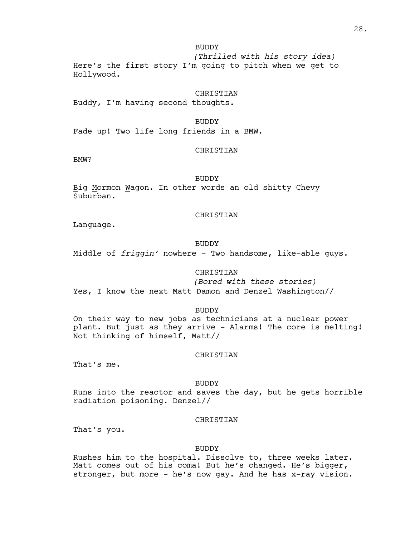BUDDY

*(Thrilled with his story idea)* Here's the first story I'm going to pitch when we get to Hollywood.

CHRISTIAN

Buddy, I'm having second thoughts.

BUDDY

Fade up! Two life long friends in a BMW.

#### CHRISTIAN

BMW?

BUDDY

Big Mormon Wagon. In other words an old shitty Chevy Suburban.

#### CHRISTIAN

Language.

#### BUDDY

Middle of *friggin'* nowhere – Two handsome, like-able guys.

## CHRISTIAN

*(Bored with these stories)* Yes, I know the next Matt Damon and Denzel Washington//

BUDDY

On their way to new jobs as technicians at a nuclear power plant. But just as they arrive - Alarms! The core is melting! Not thinking of himself, Matt//

## CHRISTIAN

That's me.

#### BUDDY

Runs into the reactor and saves the day, but he gets horrible radiation poisoning. Denzel//

#### CHRISTIAN

That's you.

#### BUDDY

Rushes him to the hospital. Dissolve to, three weeks later. Matt comes out of his coma! But he's changed. He's bigger, stronger, but more - he's now gay. And he has x-ray vision.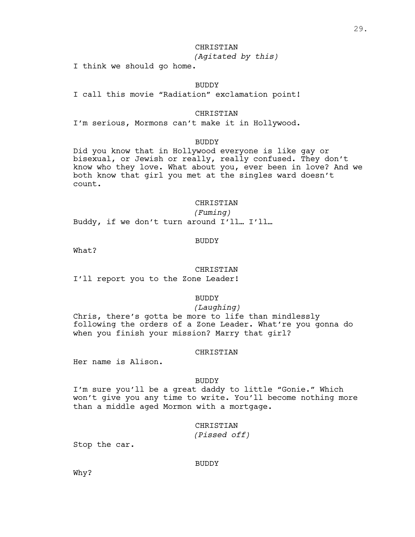## **CHRISTIAN**

# *(Agitated by this)*

I think we should go home.

## BUDDY

I call this movie "Radiation" exclamation point!

## CHRISTIAN

I'm serious, Mormons can't make it in Hollywood.

#### BUDDY

Did you know that in Hollywood everyone is like gay or bisexual, or Jewish or really, really confused. They don't know who they love. What about you, ever been in love? And we both know that girl you met at the singles ward doesn't count.

## **CHRISTIAN**

*(Fuming)*

Buddy, if we don't turn around I'll… I'll…

#### BUDDY

What?

#### CHRISTIAN

I'll report you to the Zone Leader!

## BUDDY

*(Laughing)*

Chris, there's gotta be more to life than mindlessly following the orders of a Zone Leader. What're you gonna do when you finish your mission? Marry that girl?

#### CHRISTIAN

Her name is Alison.

## BUDDY

I'm sure you'll be a great daddy to little "Gonie." Which won't give you any time to write. You'll become nothing more than a middle aged Mormon with a mortgage.

#### CHRISTIAN

*(Pissed off)*

Stop the car.

#### BUDDY

Why?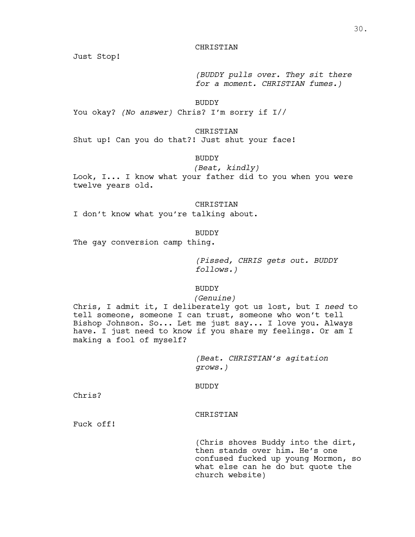## **CHRISTIAN**

Just Stop!

*(BUDDY pulls over. They sit there for a moment. CHRISTIAN fumes.)*

BUDDY

You okay? *(No answer)* Chris? I'm sorry if I//

#### CHRISTIAN

Shut up! Can you do that?! Just shut your face!

## BUDDY

*(Beat, kindly)*

Look, I... I know what your father did to you when you were twelve years old.

## CHRISTIAN

I don't know what you're talking about.

#### BUDDY

The gay conversion camp thing.

*(Pissed, CHRIS gets out. BUDDY follows.)*

#### BUDDY

#### *(Genuine)*

Chris, I admit it, I deliberately got us lost, but I *need* to tell someone, someone I can trust, someone who won't tell Bishop Johnson. So... Let me just say... I love you. Always have. I just need to know if you share my feelings. Or am I making a fool of myself?

> *(Beat. CHRISTIAN's agitation grows.)*

#### BUDDY

Chris?

## CHRISTIAN

Fuck off!

(Chris shoves Buddy into the dirt,<br>then stands over him. He's one confused fucked up young Mormon, so what else can he do but quote the church website)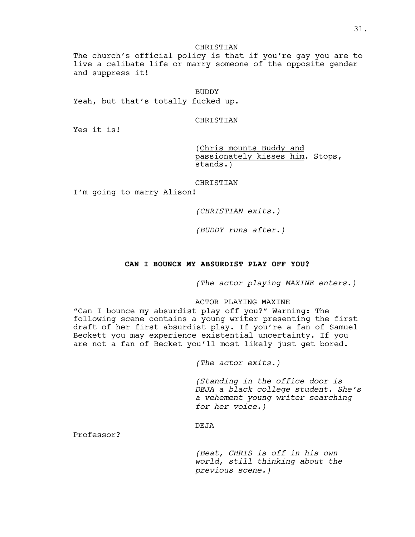## CHRISTIAN

The church's official policy is that if you're gay you are to live a celibate life or marry someone of the opposite gender and suppress it!

#### **BUDDY**

Yeah, but that's totally fucked up.

## CHRISTIAN

Yes it is!

(Chris mounts Buddy and passionately kisses him. Stops, stands.)

## CHRISTIAN

I'm going to marry Alison!

*(CHRISTIAN exits.)*

*(BUDDY runs after.)*

#### **CAN I BOUNCE MY ABSURDIST PLAY OFF YOU?**

*(The actor playing MAXINE enters.)*

## ACTOR PLAYING MAXINE

"Can I bounce my absurdist play off you?" Warning: The following scene contains a young writer presenting the first draft of her first absurdist play. If you're a fan of Samuel Beckett you may experience existential uncertainty. If you are not a fan of Becket you'll most likely just get bored.

*(The actor exits.)*

*(Standing in the office door is DEJA a black college student. She's a vehement young writer searching for her voice.)*

## DEJA

Professor?

*(Beat, CHRIS is off in his own world, still thinking about the previous scene.)*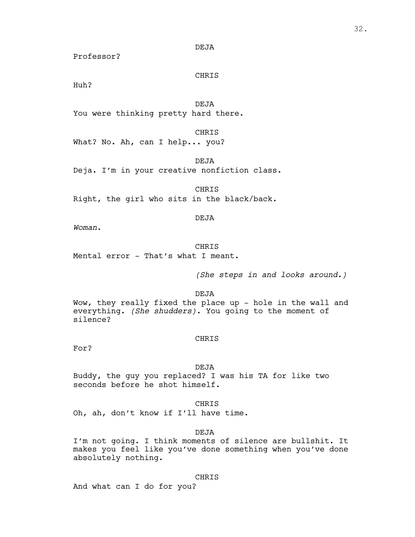#### DEJA

Professor?

## CHRIS

Huh?

DEJA

You were thinking pretty hard there.

#### CHRIS

What? No. Ah, can I help... you?

DEJA

Deja. I'm in your creative nonfiction class.

**CHRIS** Right, the girl who sits in the black/back.

## DEJA

*Woman*.

## CHRIS

Mental error - That's what I meant.

*(She steps in and looks around.)*

DEJA

Wow, they really fixed the place up - hole in the wall and everything. *(She shudders)*. You going to the moment of silence?

#### CHRIS

For?

DEJA

Buddy, the guy you replaced? I was his TA for like two seconds before he shot himself.

CHRIS

Oh, ah, don't know if I'll have time.

## DEJA

I'm not going. I think moments of silence are bullshit. It makes you feel like you've done something when you've done absolutely nothing.

## CHRIS

And what can I do for you?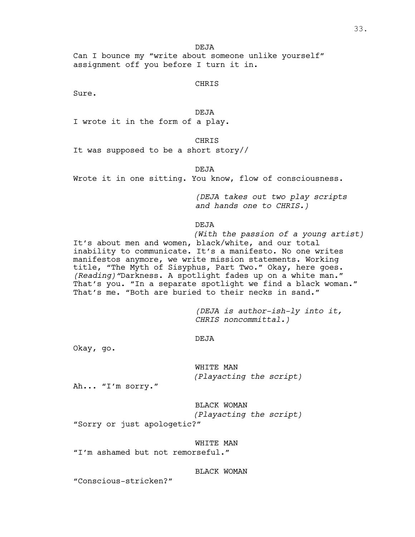DEJA

Can I bounce my "write about someone unlike yourself" assignment off you before I turn it in.

CHRIS

Sure.

DEJA

I wrote it in the form of a play.

CHRIS

It was supposed to be a short story//

DEJA

Wrote it in one sitting. You know, flow of consciousness.

*(DEJA takes out two play scripts and hands one to CHRIS.)*

DEJA

*(With the passion of a young artist)* It's about men and women, black/white, and our total inability to communicate. It's a manifesto. No one writes manifestos anymore, we write mission statements. Working<br>title, "The Myth of Sisyphus, Part Two." Okay, here goes. (Reading) "Darkness. A spotlight fades up on a white man." That's you. "In a separate spotlight we find a black woman." That's me. "Both are buried to their necks in sand."

> *(DEJA is author-ish-ly into it, CHRIS noncommittal.)*

DEJA

Okay, go.

WHITE MAN *(Playacting the script)*

Ah... "I'm sorry."

BLACK WOMAN

*(Playacting the script)*

"Sorry or just apologetic?"

WHITE MAN

"I'm ashamed but not remorseful."

BLACK WOMAN

"Conscious-stricken?"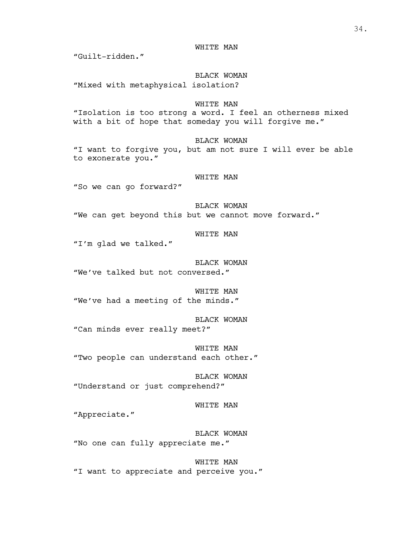WHITE MAN

"Guilt-ridden."

BLACK WOMAN

"Mixed with metaphysical isolation?

# WHITE MAN

"Isolation is too strong a word. I feel an otherness mixed with a bit of hope that someday you will forgive me."

BLACK WOMAN

"I want to forgive you, but am not sure I will ever be able to exonerate you."

#### WHITE MAN

"So we can go forward?"

BLACK WOMAN "We can get beyond this but we cannot move forward."

WHITE MAN

"I'm glad we talked."

BLACK WOMAN "We've talked but not conversed."

WHITE MAN "We've had a meeting of the minds."

BLACK WOMAN "Can minds ever really meet?"

WHITE MAN "Two people can understand each other."

BLACK WOMAN "Understand or just comprehend?"

WHITE MAN

"Appreciate."

BLACK WOMAN "No one can fully appreciate me."

WHITE MAN "I want to appreciate and perceive you."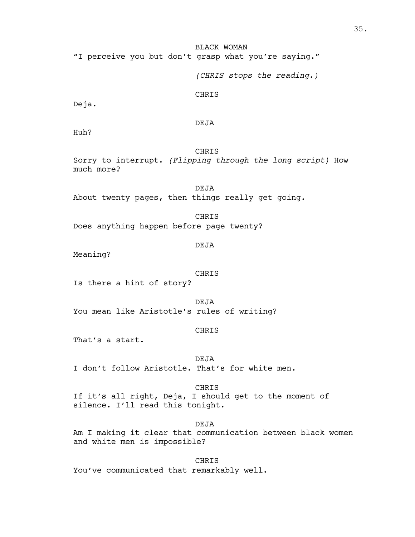BLACK WOMAN "I perceive you but don't grasp what you're saying."

*(CHRIS stops the reading.)*

CHRIS

Deja.

DEJA

Huh?

CHRIS

Sorry to interrupt. *(Flipping through the long script)* How much more?

DEJA About twenty pages, then things really get going.

CHRIS Does anything happen before page twenty?

DEJA

Meaning?

CHRIS

Is there a hint of story?

DEJA You mean like Aristotle's rules of writing?

#### CHRIS

That's a start.

DEJA I don't follow Aristotle. That's for white men.

CHRIS If it's all right, Deja, I should get to the moment of silence. I'll read this tonight.

DEJA Am I making it clear that communication between black women and white men is impossible?

CHRIS You've communicated that remarkably well.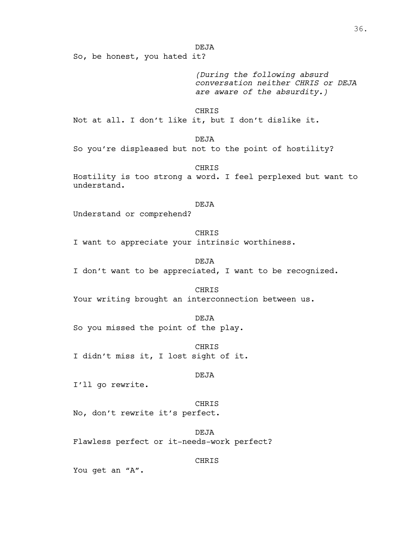DEJA

So, be honest, you hated it?

*(During the following absurd conversation neither CHRIS or DEJA are aware of the absurdity.)*

CHRIS

Not at all. I don't like it, but I don't dislike it.

DEJA

So you're displeased but not to the point of hostility?

CHRIS Hostility is too strong a word. I feel perplexed but want to understand.

#### DEJA

Understand or comprehend?

CHRIS

I want to appreciate your intrinsic worthiness.

DEJA I don't want to be appreciated, I want to be recognized.

CHRIS

Your writing brought an interconnection between us.

DEJA

So you missed the point of the play.

CHRIS I didn't miss it, I lost sight of it.

# DEJA

I'll go rewrite.

CHRIS No, don't rewrite it's perfect.

DEJA Flawless perfect or it-needs-work perfect?

CHRIS

You get an "A".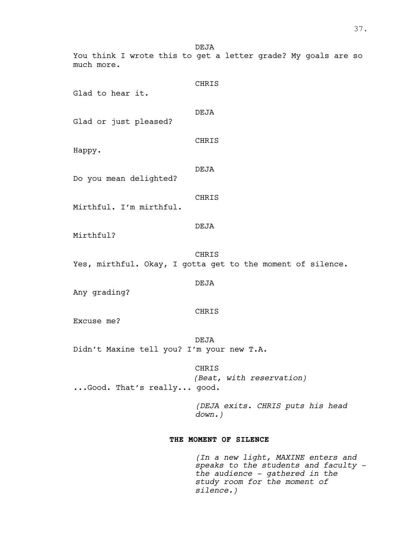DEJA You think I wrote this to get a letter grade? My goals are so much more.

| Glad to hear it.                          | CHRIS                                                               |
|-------------------------------------------|---------------------------------------------------------------------|
| Glad or just pleased?                     | DEJA                                                                |
| Happy.                                    | CHRIS                                                               |
| Do you mean delighted?                    | <b>DEJA</b>                                                         |
| Mirthful. I'm mirthful.                   | CHRIS                                                               |
| Mirthful?                                 | <b>DEJA</b>                                                         |
|                                           | CHRIS<br>Yes, mirthful. Okay, I gotta get to the moment of silence. |
| Any grading?                              | <b>DEJA</b>                                                         |
| Excuse me?                                | CHRIS                                                               |
| Didn't Maxine tell you? I'm your new T.A. | <b>DEJA</b>                                                         |
| Good. That's really good.                 | CHRIS<br>(Beat, with reservation)                                   |
|                                           | (DEJA exits. CHRIS puts his head<br>$down.$ )                       |

# **THE MOMENT OF SILENCE**

*(In a new light, MAXINE enters and speaks to the students and faculty the audience - gathered in the study room for the moment of silence.)*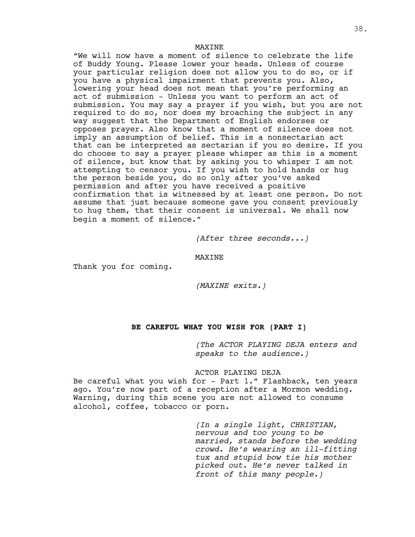#### **MAXTNE**

"We will now have a moment of silence to celebrate the life of Buddy Young. Please lower your heads. Unless of course your particular religion does not allow you to do so, or if you have <sup>a</sup> physical impairment that prevents you. Also, lowering your head does not mean that you're performing an act of submission - Unless you want to perform an act of submission. You may say a prayer if you wish, but you are not required to do so, nor does my broaching the subject in any way suggest that the Department of English endorses or opposes prayer. Also know that a moment of silence does not imply an assumption of belief. This is a nonsectarian act that can be interpreted as sectarian if you so desire. If you do choose to say a prayer please whisper as this is a moment of silence, but know that by asking you to whisper I am not attempting to censor you. If you wish to hold hands or hug the person beside you, do so only after you've asked permission and after you have received a positive confirmation that is witnessed by at least one person. Do not assume that just because someone gave you consent previously to hug them, that their consent is universal. We shall now begin a moment of silence."

*(After three seconds...)*

MAXINE

Thank you for coming.

*(MAXINE exits.)*

# **BE CAREFUL WHAT YOU WISH FOR (PART I)**

*(The ACTOR PLAYING DEJA enters and speaks to the audience.)*

### ACTOR PLAYING DEJA

Be careful what you wish for - Part 1." Flashback, ten years ago. You're now part of a reception after a Mormon wedding. Warning, during this scene you are not allowed to consume alcohol, coffee, tobacco or porn.

> *(In a single light, CHRISTIAN, nervous and too young to be married, stands before the wedding crowd. He's wearing an ill-fitting tux and stupid bow tie his mother picked out. He's never talked in front of this many people.)*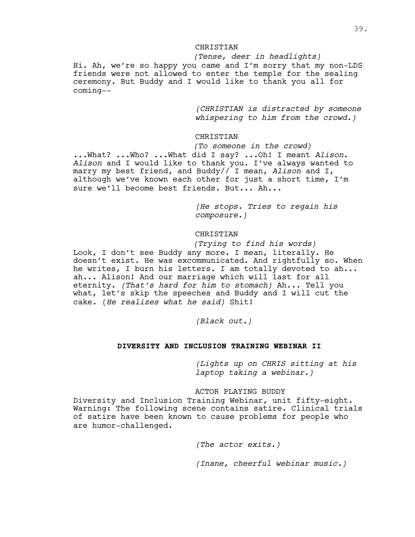### **CHRISTIAN**

*(Tense, deer in headlights)* Hi. Ah, we're so happy you came and I'm sorry that my non-LDS friends were not allowed to enter the temple for the sealing ceremony. But Buddy and I would like to thank you all for coming--

> *(CHRISTIAN is distracted by someone whispering to him from the crowd.)*

# **CHRISTIAN**

*(To someone in the crowd)*

...What? ...Who? ...What did I say? *...*Oh! I meant *Alison*. *Alison* and I would like to thank you. I've always wanted to marry my best friend, and Buddy// I mean, *Alison* and I, although we've known each other for just a short time, I'm sure we'll become best friends. But... Ah...

> *(He stops. Tries to regain his composure.)*

# CHRISTIAN

*(Trying to find his words)* Look, I don't see Buddy any more. I mean, literally. He doesn't exist. He was excommunicated. And rightfully so. When he writes, I burn his letters. I am totally devoted to ah... ah... Alison! And our marriage which will last for all eternity. *(That's hard for him to stomach)* Ah... Tell you what, let's skip the speeches and Buddy and I will cut the cake. (*He realizes what he said)* Shit!

*(Black out.)*

# **DIVERSITY AND INCLUSION TRAINING WEBINAR II**

*(Lights up on CHRIS sitting at his laptop taking a webinar.)*

# ACTOR PLAYING BUDDY

Diversity and Inclusion Training Webinar, unit fifty-eight. Warning: The following scene contains satire. Clinical trials of satire have been known to cause problems for people who are humor-challenged.

*(The actor exits.)*

*(Inane, cheerful webinar music.)*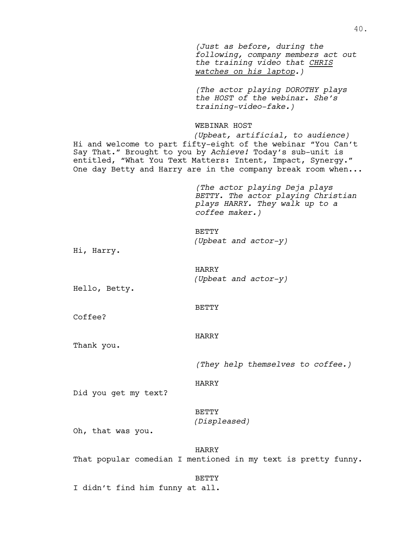*(Just as before, during the following, company members act out the training video that CHRIS watches on his laptop.)*

*(The actor playing DOROTHY plays the HOST of the webinar. She's training-video-fake.)*

### WEBINAR HOST

*(Upbeat, artificial, to audience)* Hi and welcome to part fifty-eight of the webinar "You Can't Say That." Brought to you by *Achieve!* Today's sub-unit is entitled, "What You Text Matters: Intent, Impact, Synergy." One day Betty and Harry are in the company break room when...

> *(The actor playing Deja plays BETTY. The actor playing Christian plays HARRY. They walk up to a coffee maker.)*

BETTY *(Upbeat and actor-y)*

Hi, Harry.

HARRY *(Upbeat and actor-y)*

Hello, Betty.

BETTY

Coffee?

# HARRY

Thank you.

*(They help themselves to coffee.)*

HARRY

Did you get my text?

BETTY *(Displeased)*

Oh, that was you.

# HARRY

That popular comedian I mentioned in my text is pretty funny.

#### BETTY

I didn't find him funny at all.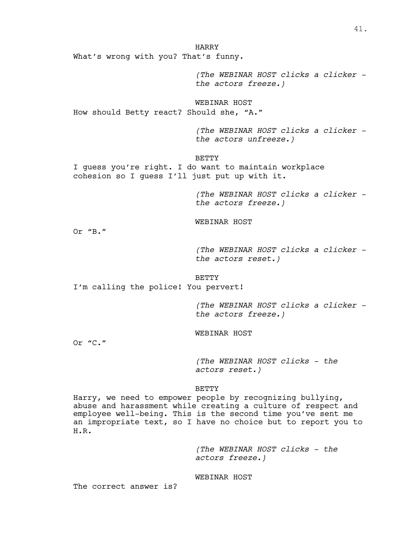HARRY What's wrong with you? That's funny.

> *(The WEBINAR HOST clicks a clicker the actors freeze.)*

WEBINAR HOST How should Betty react? Should she, "A."

> *(The WEBINAR HOST clicks a clicker the actors unfreeze.)*

BETTY

I guess you're right. I do want to maintain workplace cohesion so I guess I'll just put up with it.

> *(The WEBINAR HOST clicks a clicker the actors freeze.)*

WEBINAR HOST

Or "B."

*(The WEBINAR HOST clicks a clicker the actors reset.)*

BETTY

I'm calling the police! You pervert!

*(The WEBINAR HOST clicks a clicker the actors freeze.)*

WEBINAR HOST

Or "C."

*(The WEBINAR HOST clicks - the actors reset.)*

BETTY

Harry, we need to empower people by recognizing bullying, abuse and harassment while creating a culture of respect and employee well-being. This is the second time you've sent me an impropriate text, so I have no choice but to report you to H.R.

> *(The WEBINAR HOST clicks - the actors freeze.)*

WEBINAR HOST

The correct answer is?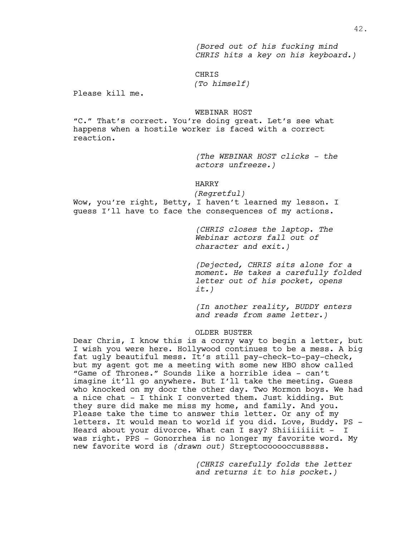*(Bored out of his fucking mind CHRIS hits a key on his keyboard.)*

# CHRIS

*(To himself)*

Please kill me.

### WEBINAR HOST

"C." That's correct. You're doing great. Let's see what happens when a hostile worker is faced with a correct reaction.

> *(The WEBINAR HOST clicks - the actors unfreeze.)*

#### HARRY

*(Regretful)* Wow, you're right, Betty, I haven't learned my lesson. I guess I'll have to face the consequences of my actions.

> *(CHRIS closes the laptop. The Webinar actors fall out of character and exit.)*

*(Dejected, CHRIS sits alone for a moment. He takes a carefully folded letter out of his pocket, opens it.)*

*(In another reality, BUDDY enters and reads from same letter.)*

#### OLDER BUSTER

Dear Chris, I know this is a corny way to begin a letter, but I wish you were here. Hollywood continues to be a mess. A big fat ugly beautiful mess. It's still pay-check-to-pay-check, but my agent got me a meeting with some new HBO show called "Game of Thrones." Sounds like a horrible idea - can't imagine it'll go anywhere. But I'll take the meeting. Guess who knocked on my door the other day. Two Mormon boys. We had a nice chat - I think I converted them. Just kidding. But they sure did make me miss my home, and family. And you.<br>Please take the time to answer this letter. Or any of my letters. It would mean to world if you did. Love, Buddy. PS -<br>Heard about your divorce. What can I say? Shiiiiiiiit - I was right. PPS – Gonorrhea is no longer my favorite word. My new favorite word is *(drawn out)* Streptocooooccusssss.

> *(CHRIS carefully folds the letter and returns it to his pocket.)*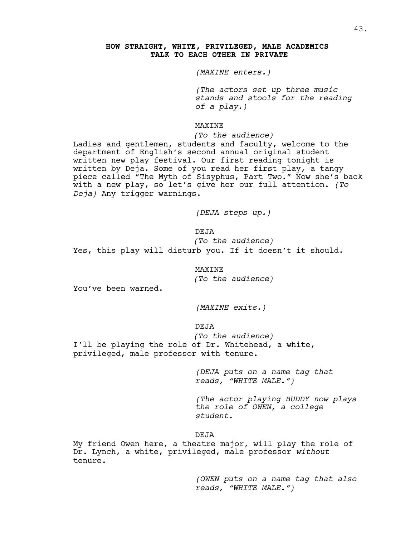# **HOW STRAIGHT, WHITE, PRIVILEGED, MALE ACADEMICS TALK TO EACH OTHER IN PRIVATE**

*(MAXINE enters.)*

*(The actors set up three music stands and stools for the reading of a play.)*

MAXINE

*(To the audience)*

Ladies and gentlemen, students and faculty, welcome to the department of English's second annual original student written new play festival. Our first reading tonight is written by Deja. Some of you read her first play, a tangy piece called "The Myth of Sisyphus, Part Two." Now she's back with a new play, so let's give her our full attention. *(To Deja)* Any trigger warnings.

*(DEJA steps up.)*

DEJA

*(To the audience)* Yes, this play will disturb you. If it doesn't it should.

MAXINE

*(To the audience)*

You've been warned.

*(MAXINE exits.)*

DEJA

*(To the audience)* I'll be playing the role of Dr. Whitehead, a white, privileged, male professor with tenure.

> *(DEJA puts on a name tag that reads, "WHITE MALE.")*

*(The actor playing BUDDY now plays the role of OWEN, a college student.*

#### DEJA

My friend Owen here, a theatre major, will play the role of Dr. Lynch, a white, privileged, male professor *without* tenure.

> *(OWEN puts on a name tag that also reads, "WHITE MALE.")*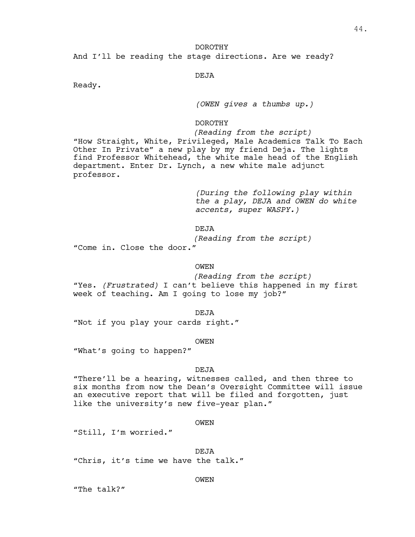# DOROTHY And I'll be reading the stage directions. Are we ready?

# DEJA

Ready.

# *(OWEN gives a thumbs up.)*

# DOROTHY

# *(Reading from the script)*

"How Straight, White, Privileged, Male Academics Talk To Each Other In Private" a new play by my friend Deja. The lights find Professor Whitehead, the white male head of the English department. Enter Dr. Lynch, a new white male adjunct professor.

> *(During the following play within the a play, DEJA and OWEN do white accents, super WASPY.)*

DEJA

*(Reading from the script)*

"Come in. Close the door."

### OWEN

*(Reading from the script)* "Yes. *(Frustrated)* I can't believe this happened in my first week of teaching. Am I going to lose my job?"

DEJA

"Not if you play your cards right."

OWEN

"What's going to happen?"

#### DEJA

"There'll be a hearing, witnesses called, and then three to six months from now the Dean's Oversight Committee will issue an executive report that will be filed and forgotten, just like the university's new five-year plan."

#### OWEN

"Still, I'm worried."

DEJA

"Chris, it's time we have the talk."

#### OWEN

"The talk?"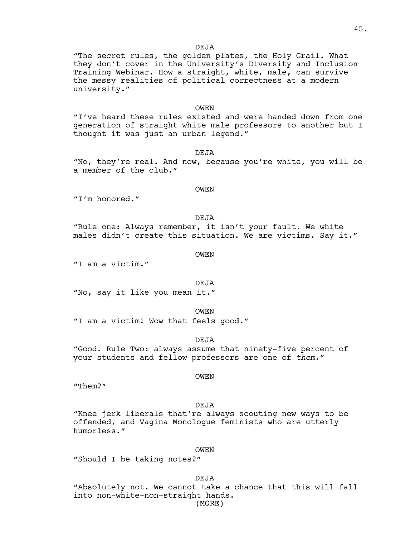#### DEJA

"The secret rules, the golden plates, the Holy Grail. What they don't cover in the University's Diversity and Inclusion Training Webinar. How a straight, white, male, can survive the messy realities of political correctness at a modern university."

### OWEN

"I've heard these rules existed and were handed down from one generation of straight white male professors to another but I thought it was just an urban legend."

**DEJA** 

"No, they're real. And now, because you're white, you will be a member of the club."

# OWEN

"I'm honored."

### DEJA

"Rule one: Always remember, it isn't your fault. We white males didn't create this situation. We are victims. Say it."

OWEN

"I am a victim."

#### DEJA

"No, say it like you mean it."

OWEN

"I am a victim! Wow that feels good."

DEJA

"Good. Rule Two: always assume that ninety-five percent of your students and fellow professors are one of *them*."

#### OWEN

"Them?"

#### **DEJA**

"Knee jerk liberals that're always scouting new ways to be offended, and Vagina Monologue feminists who are utterly humorless."

#### OWEN

"Should I be taking notes?"

DEJA

"Absolutely not. We cannot take a chance that this will fall into non-white-non-straight hands.

(MORE)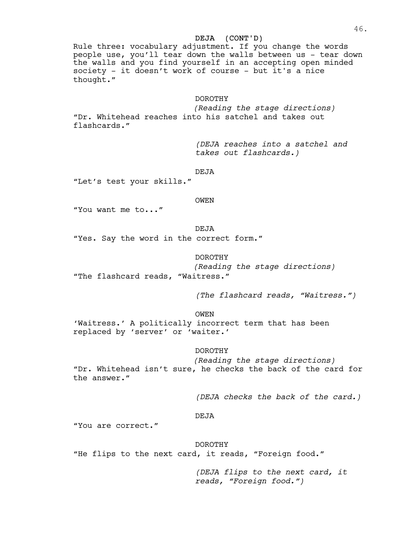# DEJA (CONT'D)

Rule three: vocabulary adjustment. If you change the words people use, you'll tear down the walls between us - tear down the walls and you find yourself in an accepting open minded society - it doesn't work of course - but it's a nice thought."

# DOROTHY

*(Reading the stage directions)* "Dr. Whitehead reaches into his satchel and takes out flashcards."

> *(DEJA reaches into a satchel and takes out flashcards.)*

DEJA

"Let's test your skills."

OWEN

"You want me to..."

DEJA

"Yes. Say the word in the correct form."

# DOROTHY

*(Reading the stage directions)* "The flashcard reads, "Waitress."

*(The flashcard reads, "Waitress.")*

OWEN

'Waitress.' A politically incorrect term that has been replaced by 'server' or 'waiter.'

DOROTHY

*(Reading the stage directions)*

"Dr. Whitehead isn't sure, he checks the back of the card for the answer."

*(DEJA checks the back of the card.)*

#### DEJA

"You are correct."

DOROTHY

"He flips to the next card, it reads, "Foreign food."

*(DEJA flips to the next card, it reads, "Foreign food.")*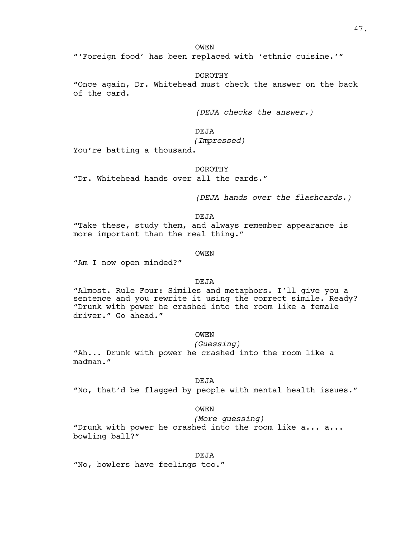OWEN

"'Foreign food' has been replaced with 'ethnic cuisine.'"

DOROTHY

"Once again, Dr. Whitehead must check the answer on the back of the card.

*(DEJA checks the answer.)*

DEJA

*(Impressed)*

You're batting a thousand.

# DOROTHY

"Dr. Whitehead hands over all the cards."

*(DEJA hands over the flashcards.)*

DEJA

"Take these, study them, and always remember appearance is more important than the real thing."

OWEN

"Am I now open minded?"

DEJA

"Almost. Rule Four: Similes and metaphors. I'll give you a sentence and you rewrite it using the correct simile. Ready? "Drunk with power he crashed into the room like a female driver." Go ahead."

OWEN

#### *(Guessing)*

"Ah... Drunk with power he crashed into the room like a madman."

# DEJA

"No, that'd be flagged by people with mental health issues."

OWEN

*(More guessing)*

"Drunk with power he crashed into the room like a... a... bowling ball?"

DEJA

"No, bowlers have feelings too."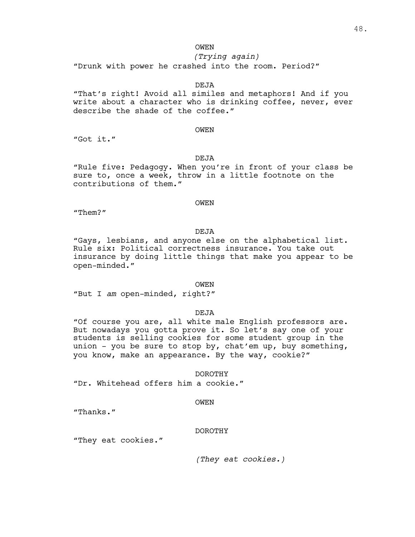# OWEN

# *(Trying again)*

"Drunk with power he crashed into the room. Period?"

# DEJA

"That's right! Avoid all similes and metaphors! And if you write about a character who is drinking coffee, never, ever describe the shade of the coffee."

# OWEN

"Got it."

# DEJA

"Rule five: Pedagogy. When you're in front of your class be sure to, once a week, throw in a little footnote on the contributions of them."

# **OWEN**

"Them?"

DEJA

"Gays, lesbians, and anyone else on the alphabetical list. Rule six: Political correctness insurance. You take out insurance by doing little things that make you appear to be open-minded."

#### OWEN

"But I *am* open-minded, right?"

DEJA

"Of course you are, all white male English professors are.<br>But nowadays you gotta prove it. So let's say one of your students is selling cookies for some student group in the union - you be sure to stop by, chat'em up, buy something, you know, make an appearance. By the way, cookie?"

# DOROTHY

"Dr. Whitehead offers him a cookie."

#### OWEN

"Thanks."

#### DOROTHY

"They eat cookies."

*(They eat cookies.)*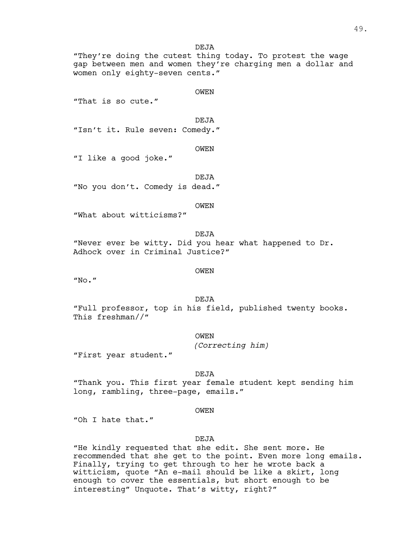**DEJA** 

"They're doing the cutest thing today. To protest the wage gap between men and women they're charging men a dollar and women only eighty-seven cents."

OWEN

"That is so cute."

DEJA

"Isn't it. Rule seven: Comedy."

OWEN

"I like a good joke."

DEJA "No you don't. Comedy is dead."

OWEN

"What about witticisms?"

DEJA "Never ever be witty. Did you hear what happened to Dr. Adhock over in Criminal Justice?"

OWEN

"No."

DEJA

"Full professor, top in his field, published twenty books. This freshman//"

OWEN

*(Correcting him)*

"First year student."

DEJA

"Thank you. This first year female student kept sending him long, rambling, three-page, emails."

**OWEN** 

"Oh I hate that."

# DEJA

"He kindly requested that she edit. She sent more. He recommended that she get to the point. Even more long emails. Finally, trying to get through to her he wrote back a witticism, quote "An e-mail should be like a skirt, long enough to cover the essentials, but short enough to be interesting" Unquote. That's witty, right?"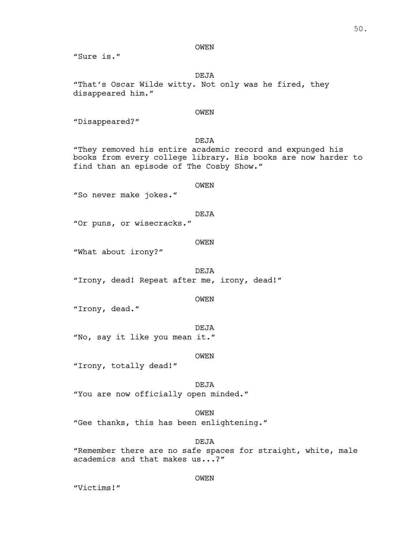#### OWEN

"Sure is."

DEJA

"That's Oscar Wilde witty. Not only was he fired, they disappeared him."

# OWEN

"Disappeared?"

DEJA

"They removed his entire academic record and expunged his books from every college library. His books are now harder to find than an episode of The Cosby Show."

#### OWEN

"So never make jokes."

DEJA

"Or puns, or wisecracks."

#### OWEN

"What about irony?"

DEJA "Irony, dead! Repeat after me, irony, dead!"

OWEN

"Irony, dead."

DEJA

"No, say it like you mean it."

OWEN

"Irony, totally dead!"

DEJA

"You are now officially open minded."

OWEN

"Gee thanks, this has been enlightening."

DEJA

"Remember there are no safe spaces for straight, white, male academics and that makes us...?"

OWEN

"Victims!"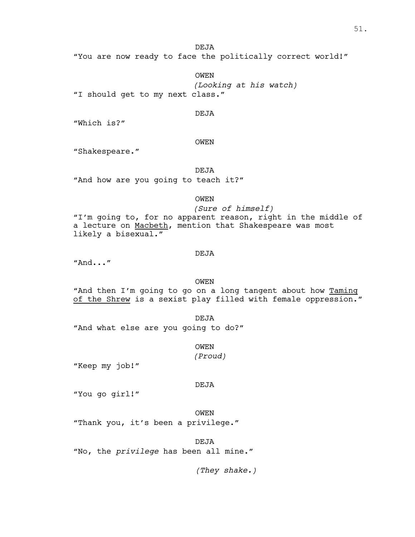"You are now ready to face the politically correct world!"

DEJA

OWEN *(Looking at his watch)* "I should get to my next class."

DEJA

"Which is?"

OWEN

"Shakespeare."

DEJA

"And how are you going to teach it?"

OWEN

*(Sure of himself)* "I'm going to, for no apparent reason, right in the middle of a lecture on Macbeth, mention that Shakespeare was most likely a bisexual."

#### DEJA

"And..."

# OWEN

"And then I'm going to go on a long tangent about how Taming of the Shrew is a sexist play filled with female oppression."

DEJA "And what else are you going to do?"

OWEN

*(Proud)*

"Keep my job!"

#### DEJA

"You go girl!"

OWEN "Thank you, it's been a privilege."

DEJA

"No, the *privilege* has been all mine."

*(They shake.)*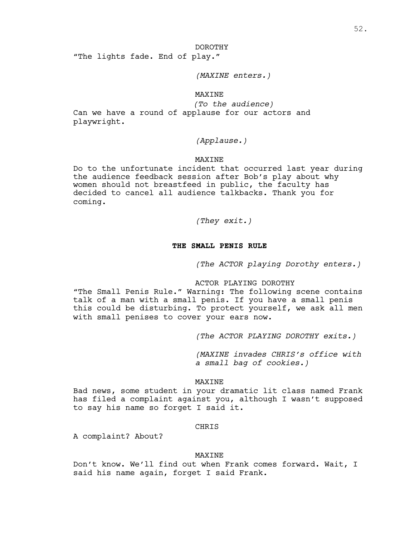#### DOROTHY

"The lights fade. End of play."

# *(MAXINE enters.)*

# MAXINE

*(To the audience)* Can we have a round of applause for our actors and playwright.

# *(Applause.)*

# MAXINE

Do to the unfortunate incident that occurred last year during the audience feedback session after Bob's play about why women should not breastfeed in public, the faculty has decided to cancel all audience talkbacks. Thank you for coming.

*(They exit.)*

# **THE SMALL PENIS RULE**

*(The ACTOR playing Dorothy enters.)*

# ACTOR PLAYING DOROTHY

"The Small Penis Rule." Warning: The following scene contains talk of a man with a small penis. If you have a small penis this could be disturbing. To protect yourself, we ask all men with small penises to cover your ears now.

*(The ACTOR PLAYING DOROTHY exits.)*

*(MAXINE invades CHRIS's office with a small bag of cookies.)*

# MAXINE

Bad news, some student in your dramatic lit class named Frank has filed a complaint against you, although I wasn't supposed to say his name so forget I said it.

#### **CHRIS**

A complaint? About?

#### MAXINE

Don't know. We'll find out when Frank comes forward. Wait, I said his name again, forget I said Frank.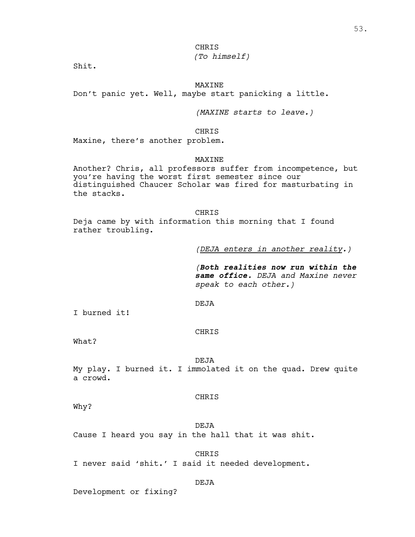# *(To himself)*

Shit.

# MAXINE

Don't panic yet. Well, maybe start panicking a little.

*(MAXINE starts to leave.)*

CHRIS

Maxine, there's another problem.

## MAXINE

Another? Chris, all professors suffer from incompetence, but you're having the worst first semester since our distinguished Chaucer Scholar was fired for masturbating in the stacks.

CHRIS

Deja came by with information this morning that I found rather troubling.

*(DEJA enters in another reality.)*

*(Both realities now run within the same office. DEJA and Maxine never speak to each other.)*

# DEJA

I burned it!

# CHRIS

What?

# **DEJA**

My play. I burned it. I immolated it on the quad. Drew quite a crowd.

#### CHRIS

Why?

DEJA Cause I heard you say in the hall that it was shit.

#### CHRIS

I never said 'shit.' I said it needed development.

# DEJA

Development or fixing?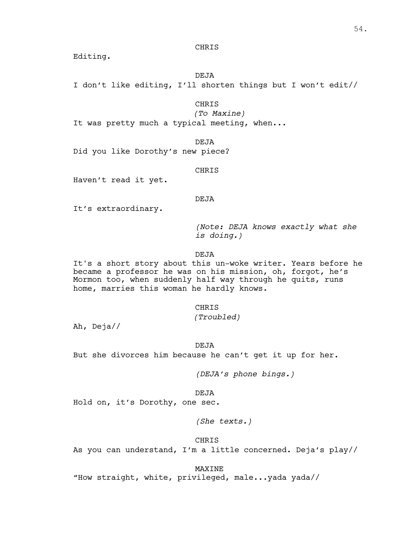Editing.

DEJA

I don't like editing, I'll shorten things but I won't edit//

### CHRIS

*(To Maxine)*

It was pretty much a typical meeting, when...

DEJA

Did you like Dorothy's new piece?

CHRIS

Haven't read it yet.

# DEJA

It's extraordinary.

*(Note: DEJA knows exactly what she is doing.)*

DEJA

It's a short story about this un-woke writer. Years before he became a professor he was on his mission, oh, forgot, he's Mormon too, when suddenly half way through he quits, runs home, marries this woman he hardly knows.

# CHRIS

*(Troubled)*

Ah, Deja//

DEJA

But she divorces him because he can't get it up for her.

*(DEJA's phone bings.)*

# DEJA

Hold on, it's Dorothy, one sec.

*(She texts.)*

### CHRIS

As you can understand, I'm a little concerned. Deja's play//

MAXINE

"How straight, white, privileged, male...yada yada//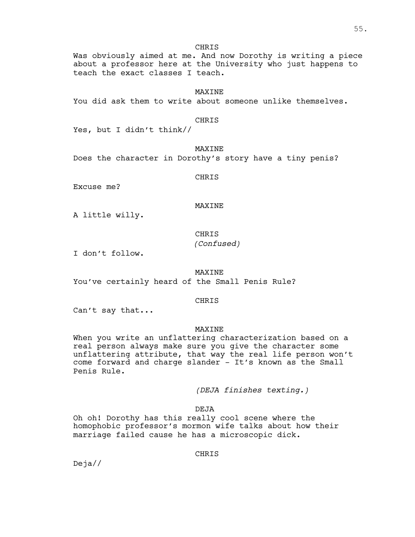Was obviously aimed at me. And now Dorothy is writing a piece about a professor here at the University who just happens to teach the exact classes I teach.

# **MAXTNE**

You did ask them to write about someone unlike themselves.

# CHRIS

Yes, but I didn't think//

MAXINE

Does the character in Dorothy's story have a tiny penis?

CHRIS

Excuse me?

## MAXINE

A little willy.

# CHRIS *(Confused)*

I don't follow.

# MAXINE

You've certainly heard of the Small Penis Rule?

# CHRIS

Can't say that...

# MAXINE

When you write an unflattering characterization based on a real person always make sure you give the character some unflattering attribute, that way the real life person won't come forward and charge slander - It's known as the Small Penis Rule.

*(DEJA finishes texting.)*

DEJA

Oh oh! Dorothy has this really cool scene where the homophobic professor's mormon wife talks about how their marriage failed cause he has a microscopic dick.

CHRIS

Deja//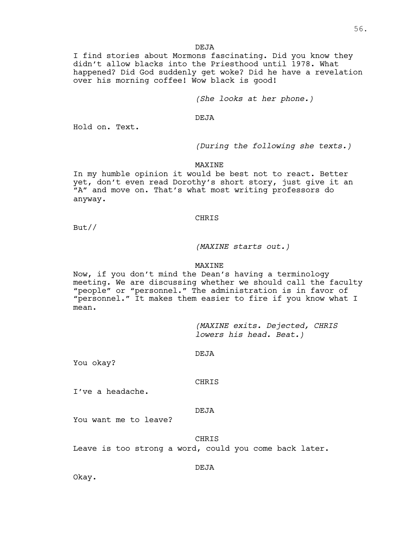**DEJA** 

I find stories about Mormons fascinating. Did you know they didn't allow blacks into the Priesthood until 1978. What happened? Did God suddenly get woke? Did he have a revelation over his morning coffee! Wow black is good!

*(She looks at her phone.)*

DEJA

Hold on. Text.

*(During the following she texts.)*

MAXINE

In my humble opinion it would be best not to react. Better yet, don't even read Dorothy's short story, just give it an "A" and move on. That's what most writing professors do anyway.

#### CHRIS

But//

# *(MAXINE starts out.)*

# MAXINE

Now, if you don't mind the Dean's having a terminology meeting. We are discussing whether we should call the faculty "people" or "personnel." The administration is in favor of "personnel." It makes them easier to fire if you know what I mean.

> *(MAXINE exits. Dejected, CHRIS lowers his head. Beat.)*

DEJA

You okay?

# **CHRIS**

I've a headache.

#### DEJA

You want me to leave?

### **CHRIS**

Leave is too strong a word, could you come back later.

DEJA

Okay.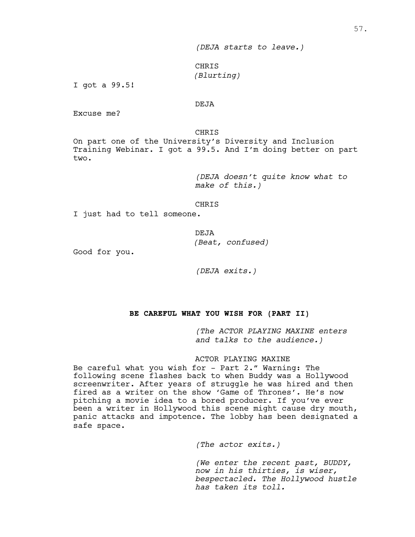CHRIS *(Blurting)*

I got a 99.5!

# DEJA

Excuse me?

CHRIS

On part one of the University's Diversity and Inclusion Training Webinar. I got a 99.5. And I'm doing better on part two.

> *(DEJA doesn't quite know what to make of this.)*

CHRIS

I just had to tell someone.

DEJA *(Beat, confused)*

Good for you.

*(DEJA exits.)*

# **BE CAREFUL WHAT YOU WISH FOR (PART II)**

*(The ACTOR PLAYING MAXINE enters and talks to the audience.)*

# ACTOR PLAYING MAXINE

Be careful what you wish for - Part 2." Warning: The following scene flashes back to when Buddy was a Hollywood screenwriter. After years of struggle he was hired and then fired as a writer on the show 'Game of Thrones'. He's now pitching a movie idea to a bored producer. If you've ever been a writer in Hollywood this scene might cause dry mouth, panic attacks and impotence. The lobby has been designated a safe space.

*(The actor exits.)*

*(We enter the recent past, BUDDY, now in his thirties, is wiser, bespectacled. The Hollywood hustle has taken its toll.*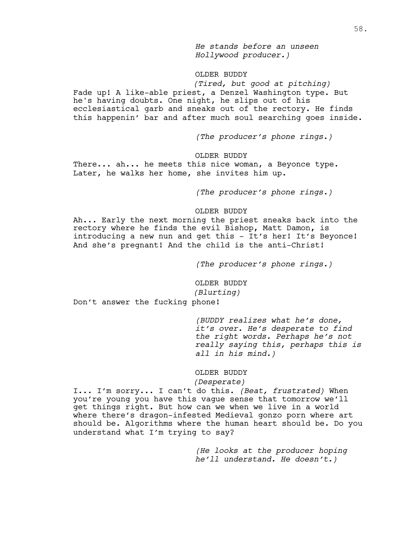*He stands before an unseen Hollywood producer.)*

# OLDER BUDDY

*(Tired, but good at pitching)* Fade up! A like-able priest, a Denzel Washington type. But he's having doubts. One night, he slips out of his ecclesiastical garb and sneaks out of the rectory. He finds this happenin' bar and after much soul searching goes inside.

*(The producer's phone rings.)*

OLDER BUDDY

There... ah... he meets this nice woman, a Beyonce type. Later, he walks her home, she invites him up.

*(The producer's phone rings.)*

#### OLDER BUDDY

Ah... Early the next morning the priest sneaks back into the rectory where he finds the evil Bishop**,** Matt Damon**,** is introducing a new nun and get this - It's her! It's Beyonce! And she's pregnant! And the child is the anti-Christ!

*(The producer's phone rings.)*

OLDER BUDDY *(Blurting)*

Don't answer the fucking phone!

*(BUDDY realizes what he's done, it's over. He's desperate to find the right words. Perhaps he's not really saying this, perhaps this is all in his mind.)*

### OLDER BUDDY

#### *(Desperate)*

I... I'm sorry... I can't do this. *(Beat, frustrated)* When you're young you have this vague sense that tomorrow we'll get things right. But how can we when we live in a world where there's dragon-infested Medieval gonzo porn where art should be. Algorithms where the human heart should be. Do you understand what I'm trying to say?

> *(He looks at the producer hoping he'll understand. He doesn't.)*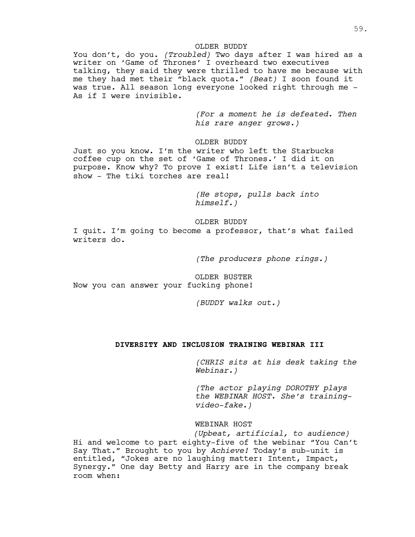# OLDER BUDDY

You don't, do you. *(Troubled)* Two days after I was hired as a writer on 'Game of Thrones' I overheard two executives talking, they said they were thrilled to have me because with me they had met their "black quota." *(Beat)* I soon found it was true. All season long everyone looked right through me - As if I were invisible.

> *(For a moment he is defeated. Then his rare anger grows.)*

OLDER BUDDY

Just so you know. I'm the writer who left the Starbucks coffee cup on the set of 'Game of Thrones.' I did it on purpose. Know why? To prove I exist! Life isn't a television show - The tiki torches are real!

> *(He stops, pulls back into himself.)*

OLDER BUDDY

I quit. I'm going to become a professor, that's what failed writers do.

*(The producers phone rings.)*

OLDER BUSTER Now you can answer your fucking phone!

*(BUDDY walks out.)*

# **DIVERSITY AND INCLUSION TRAINING WEBINAR III**

*(CHRIS sits at his desk taking the Webinar.)*

*(The actor playing DOROTHY plays the WEBINAR HOST. She's trainingvideo-fake.)*

WEBINAR HOST

*(Upbeat, artificial, to audience)* Hi and welcome to part eighty-five of the webinar "You Can't Say That." Brought to you by *Achieve!* Today's sub-unit is entitled, "Jokes are no laughing matter: Intent, Impact,<br>Synergy." One day Betty and Harry are in the company break room when: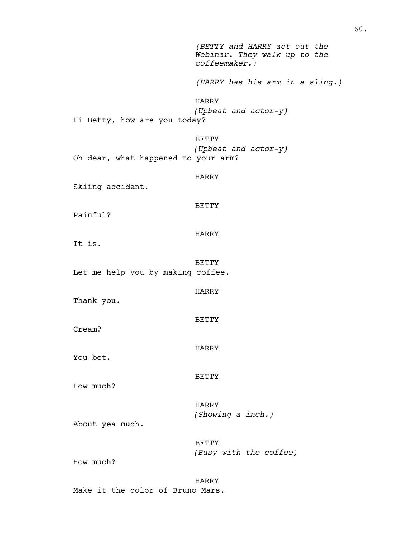*(BETTY and HARRY act out the Webinar. They walk up to the coffeemaker.) (HARRY has his arm in a sling.)* HARRY *(Upbeat and actor-y)* Hi Betty, how are you today? BETTY *(Upbeat and actor-y)* Oh dear, what happened to your arm? HARRY Skiing accident. BETTY Painful? HARRY It is. BETTY Let me help you by making coffee. HARRY Thank you. BETTY Cream? HARRY You bet. BETTY How much? HARRY *(Showing a inch.)* About yea much. BETTY *(Busy with the coffee)* How much? HARRY

Make it the color of Bruno Mars.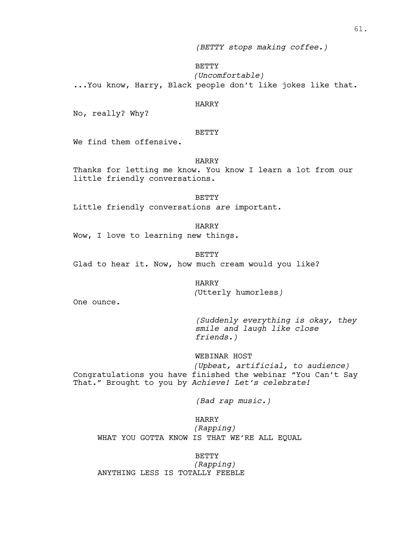*(BETTY stops making coffee.)*

# BETTY

*(Uncomfortable)*

...You know, Harry, Black people don't like jokes like that.

# HARRY

No, really? Why?

# **BETTY**

We find them offensive.

# HARRY

Thanks for letting me know. You know I learn a lot from our little friendly conversations.

### **BETTY**

Little friendly conversations *are* important.

HARRY Wow, I love to learning new things.

BETTY

Glad to hear it. Now, how much cream would you like?

# HARRY *(*Utterly humorless*)*

One ounce.

*(Suddenly everything is okay, they smile and laugh like close friends.)*

# WEBINAR HOST

*(Upbeat, artificial, to audience)* Congratulations you have finished the webinar "You Can't Say That." Brought to you by *Achieve! Let's celebrate!*

*(Bad rap music.)*

# HARRY *(Rapping)* WHAT YOU GOTTA KNOW IS THAT WE'RE ALL EQUAL

BETTY *(Rapping)* ANYTHING LESS IS TOTALLY FEEBLE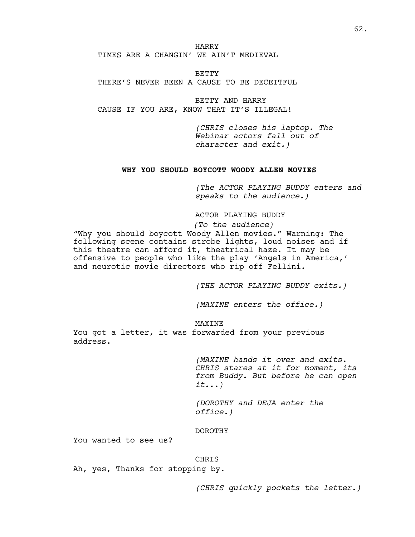HARRY TIMES ARE A CHANGIN' WE AIN'T MEDIEVAL

BETTY THERE'S NEVER BEEN A CAUSE TO BE DECEITFUL

BETTY AND HARRY CAUSE IF YOU ARE, KNOW THAT IT'S ILLEGAL!

> *(CHRIS closes his laptop. The Webinar actors fall out of character and exit.)*

# **WHY YOU SHOULD BOYCOTT WOODY ALLEN MOVIES**

*(The ACTOR PLAYING BUDDY enters and speaks to the audience.)*

ACTOR PLAYING BUDDY

*(To the audience)*

"Why you should boycott Woody Allen movies." Warning: The following scene contains strobe lights, loud noises and if this theatre can afford it, theatrical haze. It may be offensive to people who like the play 'Angels in America,' and neurotic movie directors who rip off Fellini.

*(THE ACTOR PLAYING BUDDY exits.)*

*(MAXINE enters the office.)*

# MAXINE

You got a letter, it was forwarded from your previous address.

> *(MAXINE hands it over and exits. CHRIS stares at it for moment, its from Buddy. But before he can open it...)*

*(DOROTHY and DEJA enter the office.)*

#### DOROTHY

You wanted to see us?

# CHRIS

Ah, yes, Thanks for stopping by.

*(CHRIS quickly pockets the letter.)*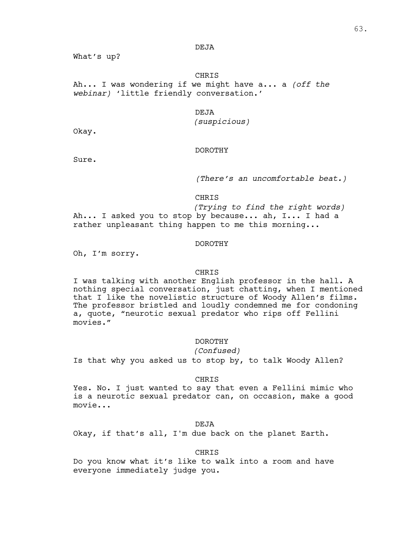# DEJA

What's up?

**CHRIS** Ah... I was wondering if we might have a... a *(off the webinar)* 'little friendly conversation.'

# DEJA

# *(suspicious)*

Okay.

# DOROTHY

Sure.

*(There's an uncomfortable beat.)*

CHRIS

*(Trying to find the right words)* Ah... I asked you to stop by because... ah, I... I had a rather unpleasant thing happen to me this morning...

#### DOROTHY

Oh, I'm sorry.

# CHRIS

I was talking with another English professor in the hall. A nothing special conversation, just chatting, when I mentioned that I like the novelistic structure of Woody Allen's films.<br>The professor bristled and loudly condemned me for condoning a, quote, "neurotic sexual predator who rips off Fellini movies."

# DOROTHY

*(Confused)*

Is that why you asked us to stop by, to talk Woody Allen?

#### CHRIS

Yes. No. I just wanted to say that even a Fellini mimic who is a neurotic sexual predator can, on occasion, make a good movie...

DEJA

Okay, if that's all, I'm due back on the planet Earth.

#### CHRIS

Do you know what it's like to walk into a room and have everyone immediately judge you.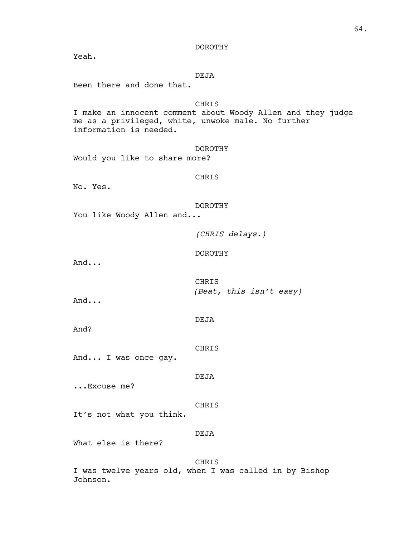DOROTHY

Yeah.

# DEJA

Been there and done that.

# CHRIS

I make an innocent comment about Woody Allen and they judge me as a privileged, white, unwoke male. No further information is needed.

#### DOROTHY

Would you like to share more?

# CHRIS

No. Yes.

### DOROTHY

You like Woody Allen and...

*(CHRIS delays.)*

# DOROTHY

And...

CHRIS *(Beat, this isn't easy)*

And...

And?

CHRIS

And... I was once gay.

DEJA

...Excuse me?

CHRIS

It's not what you think.

#### DEJA

What else is there?

CHRIS I was twelve years old, when I was called in by Bishop Johnson.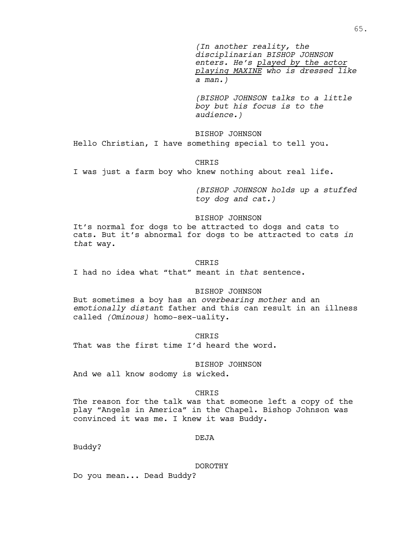*(In another reality, the disciplinarian BISHOP JOHNSON enters. He's played by the actor playing MAXINE who is dressed like a man.)*

*(BISHOP JOHNSON talks to a little boy but his focus is to the audience.)*

# BISHOP JOHNSON

Hello Christian, I have something special to tell you.

### CHRIS

I was just a farm boy who knew nothing about real life.

*(BISHOP JOHNSON holds up a stuffed toy dog and cat.)*

# BISHOP JOHNSON

It's normal for dogs to be attracted to dogs and cats to cats. But it's abnormal for dogs to be attracted to cats *in that* way.

#### CHRIS

I had no idea what "that" meant in *that* sentence.

# BISHOP JOHNSON

But sometimes a boy has an *overbearing mother* and an *emotionally distant* father and this can result in an illness called *(Ominous)* homo-sex-uality.

#### CHRIS

That was the first time I'd heard the word.

### BISHOP JOHNSON

And we all know sodomy is wicked.

# CHRIS

The reason for the talk was that someone left a copy of the play "Angels in America" in the Chapel. Bishop Johnson was convinced it was me. I knew it was Buddy.

# DEJA

Buddy?

#### DOROTHY

Do you mean... Dead Buddy?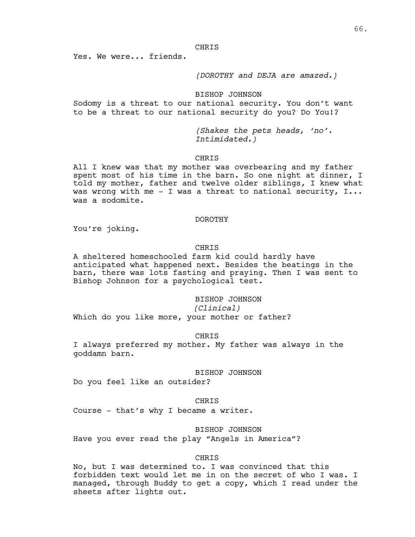Yes. We were... friends.

# *(DOROTHY and DEJA are amazed.)*

## BISHOP JOHNSON

Sodomy is a threat to our national security. You don't want to be a threat to our national security do you? Do You!?

> *(Shakes the pets heads, 'no'. Intimidated.)*

### **CHRIS**

All I knew was that my mother was overbearing and my father spent most of his time in the barn. So one night at dinner, I told my mother, father and twelve older siblings, I knew what was wrong with me  $-$  I was a threat to national security,  $I...$ was a sodomite.

#### DOROTHY

You're joking.

# **CHRIS**

A sheltered homeschooled farm kid could hardly have anticipated what happened next. Besides the beatings in the barn, there was lots fasting and praying. Then I was sent to Bishop Johnson for a psychological test.

# BISHOP JOHNSON

*(Clinical)*

Which do you like more, your mother or father?

#### CHRIS

I always preferred my mother. My father was always in the goddamn barn.

#### BISHOP JOHNSON

Do you feel like an outsider?

#### CHRIS

Course - that's why I became a writer.

#### BISHOP JOHNSON

Have you ever read the play "Angels in America"?

#### CHRIS

No, but I was determined to. I was convinced that this forbidden text would let me in on the secret of who I was. I managed, through Buddy to get a copy, which I read under the sheets after lights out.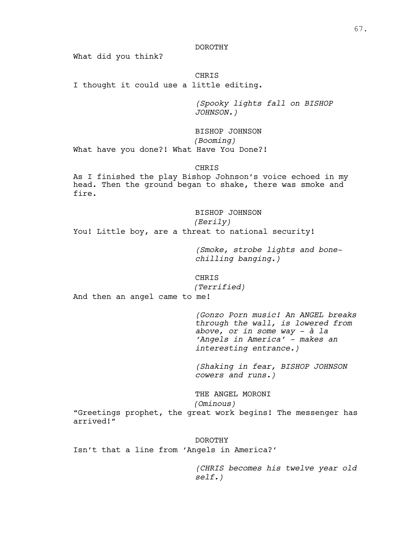#### DOROTHY

What did you think?

CHRIS I thought it could use a little editing.

> *(Spooky lights fall on BISHOP JOHNSON.)*

BISHOP JOHNSON *(Booming)* What have you done?! What Have You Done?!

CHRIS

As I finished the play Bishop Johnson's voice echoed in my head. Then the ground began to shake, there was smoke and fire.

BISHOP JOHNSON *(Eerily)* You! Little boy, are a threat to national security!

> *(Smoke, strobe lights and bonechilling banging.)*

CHRIS *(Terrified)*

And then an angel came to me!

*(Gonzo Porn music! An ANGEL breaks through the wall, is lowered from above, or in some way - à la 'Angels in America' - makes an interesting entrance.)*

*(Shaking in fear, BISHOP JOHNSON cowers and runs.)*

THE ANGEL MORONI

*(Ominous)*

"Greetings prophet, the great work begins! The messenger has arrived!"

DOROTHY Isn't that a line from 'Angels in America?'

> *(CHRIS becomes his twelve year old self.)*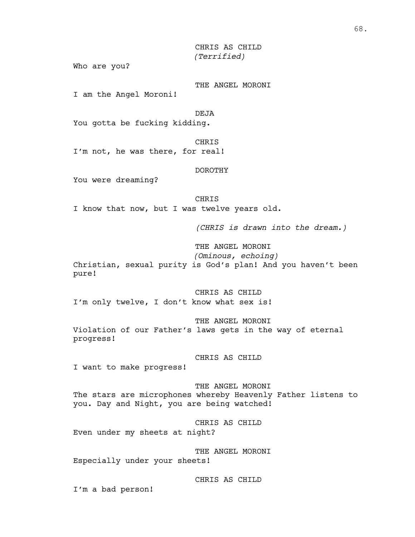CHRIS AS CHILD *(Terrified)*

Who are you?

THE ANGEL MORONI

I am the Angel Moroni!

DEJA

You gotta be fucking kidding.

CHRIS

I'm not, he was there, for real!

DOROTHY

You were dreaming?

CHRIS I know that now, but I was twelve years old.

*(CHRIS is drawn into the dream.)*

THE ANGEL MORONI

*(Ominous, echoing)* Christian, sexual purity is God's plan! And you haven't been pure!

CHRIS AS CHILD I'm only twelve, I don't know what sex is!

THE ANGEL MORONI Violation of our Father's laws gets in the way of eternal progress!

CHRIS AS CHILD

I want to make progress!

THE ANGEL MORONI The stars are microphones whereby Heavenly Father listens to you. Day and Night, you are being watched!

CHRIS AS CHILD

Even under my sheets at night?

THE ANGEL MORONI Especially under your sheets!

CHRIS AS CHILD

I'm a bad person!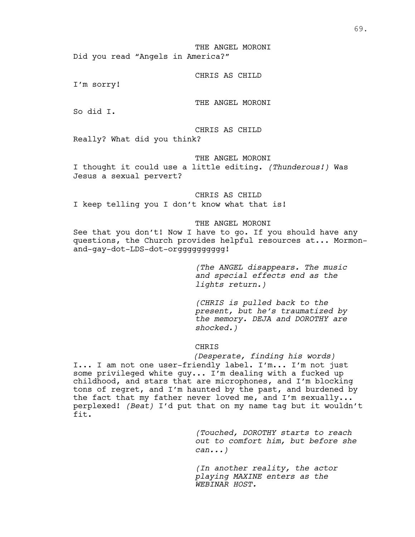THE ANGEL MORONI Did you read "Angels in America?"

#### CHRIS AS CHILD

I'm sorry!

THE ANGEL MORONI

So did I.

CHRIS AS CHILD

Really? What did you think?

THE ANGEL MORONI

I thought it could use a little editing. *(Thunderous!)* Was Jesus a sexual pervert?

#### CHRIS AS CHILD

I keep telling you I don't know what that is!

# THE ANGEL MORONI

See that you don't! Now I have to go. If you should have any questions, the Church provides helpful resources at... Mormonand-gay-dot-LDS-dot-orgggggggggg!

> *(The ANGEL disappears. The music and special effects end as the lights return.)*

> *(CHRIS is pulled back to the present, but he's traumatized by the memory. DEJA and DOROTHY are shocked.)*

# CHRIS

*(Desperate, finding his words)*

I... I am not one user-friendly label. I'm... I'm not just some privileged white guy... I'm dealing with a fucked up childhood, and stars that are microphones, and I'm blocking tons of regret, and I'm haunted by the past, and burdened by the fact that my father never loved me, and I'm sexually... perplexed! *(Beat)* I'd put that on my name tag but it wouldn't fit.

> *(Touched, DOROTHY starts to reach out to comfort him, but before she can...)*

*(In another reality, the actor playing MAXINE enters as the WEBINAR HOST.*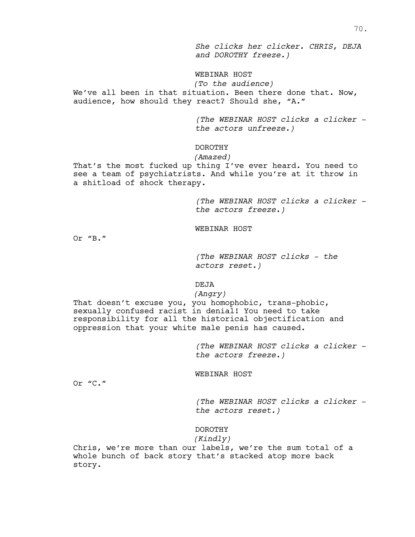*She clicks her clicker. CHRIS, DEJA and DOROTHY freeze.)*

# WEBINAR HOST

*(To the audience)* We've all been in that situation. Been there done that. Now, audience, how should they react? Should she, "A."

> *(The WEBINAR HOST clicks a clicker the actors unfreeze.)*

## DOROTHY

### *(Amazed)*

That's the most fucked up thing I've ever heard. You need to see a team of psychiatrists. And while you're at it throw in a shitload of shock therapy.

> *(The WEBINAR HOST clicks a clicker the actors freeze.)*

### WEBINAR HOST

Or "B."

*(The WEBINAR HOST clicks - the actors reset.)*

### DEJA

### *(Angry)*

That doesn't excuse you, you homophobic, trans-phobic, sexually confused racist in denial! You need to take responsibility for all the historical objectification and oppression that your white male penis has caused.

> *(The WEBINAR HOST clicks a clicker the actors freeze.)*

#### WEBINAR HOST

Or "C."

*(The WEBINAR HOST clicks a clicker the actors reset.)*

# DOROTHY

### *(Kindly)*

Chris, we're more than our labels, we're the sum total of a whole bunch of back story that's stacked atop more back story.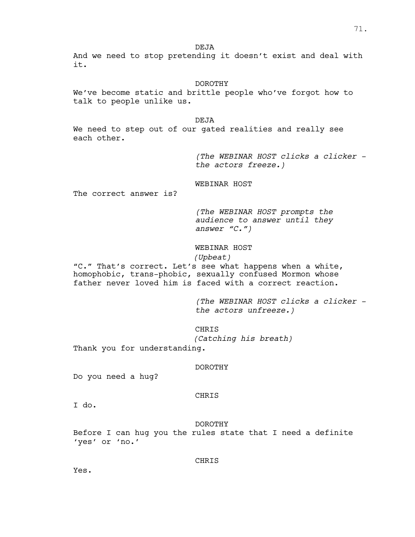DEJA

And we need to stop pretending it doesn't exist and deal with it.

### DOROTHY

We've become static and brittle people who've forgot how to talk to people unlike us.

DEJA

We need to step out of our gated realities and really see each other.

> *(The WEBINAR HOST clicks a clicker the actors freeze.)*

### WEBINAR HOST

The correct answer is?

*(The WEBINAR HOST prompts the audience to answer until they answer "C.")*

# WEBINAR HOST

# *(Upbeat)*

"C." That's correct. Let's see what happens when a white, homophobic, trans-phobic, sexually confused Mormon whose father never loved him is faced with a correct reaction.

> *(The WEBINAR HOST clicks a clicker the actors unfreeze.)*

## CHRIS

*(Catching his breath)*

Thank you for understanding.

### DOROTHY

Do you need a hug?

### CHRIS

I do.

DOROTHY

Before I can hug you the rules state that I need a definite 'yes' or 'no.'

CHRIS

Yes.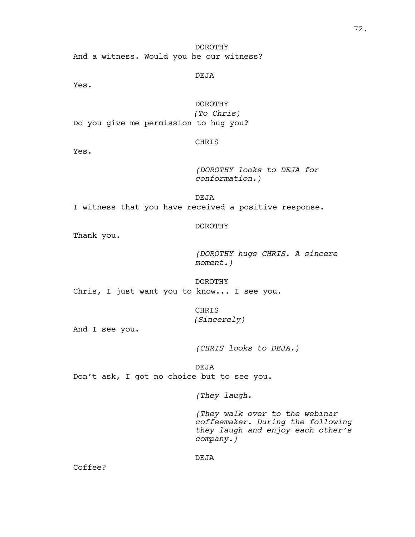DOROTHY And a witness. Would you be our witness?

DEJA

Yes.

## DOROTHY

*(To Chris)* Do you give me permission to hug you?

# CHRIS

Yes.

*(DOROTHY looks to DEJA for conformation.)*

DEJA I witness that you have received a positive response.

DOROTHY

Thank you.

*(DOROTHY hugs CHRIS. A sincere moment.)*

DOROTHY Chris, I just want you to know... I see you.

> CHRIS *(Sincerely)*

And I see you.

*(CHRIS looks to DEJA.)*

DEJA

Don't ask, I got no choice but to see you.

*(They laugh.*

*(They walk over to the webinar coffeemaker. During the following they laugh and enjoy each other's company.)*

DEJA

Coffee?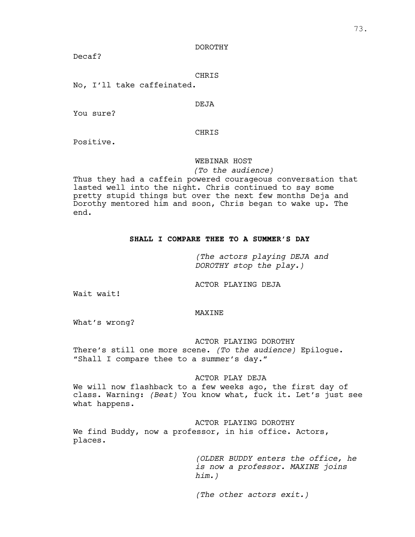### DOROTHY

Decaf?

### CHRIS

No, I'll take caffeinated.

### DEJA

You sure?

## CHRIS

Positive.

## WEBINAR HOST

### *(To the audience)*

Thus they had a caffein powered courageous conversation that lasted well into the night. Chris continued to say some pretty stupid things but over the next few months Deja and Dorothy mentored him and soon, Chris began to wake up. The end.

# **SHALL I COMPARE THEE TO A SUMMER'S DAY**

*(The actors playing DEJA and DOROTHY stop the play.)*

ACTOR PLAYING DEJA

Wait wait!

### MAXINE

What's wrong?

ACTOR PLAYING DOROTHY

There's still one more scene. *(To the audience)* Epilogue. "Shall I compare thee to a summer's day."

### ACTOR PLAY DEJA

We will now flashback to a few weeks ago, the first day of class. Warning: *(Beat)* You know what, fuck it. Let's just see what happens.

ACTOR PLAYING DOROTHY

We find Buddy, now a professor, in his office. Actors, places.

> *(OLDER BUDDY enters the office, he is now a professor. MAXINE joins him.)*

*(The other actors exit.)*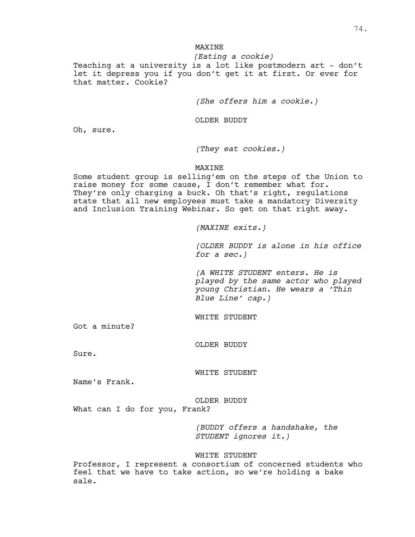# **MAXINE**

*(Eating a cookie)* Teaching at a university is a lot like postmodern art - don't let it depress you if you don't get it at first. Or ever for that matter. Cookie?

*(She offers him a cookie.)*

OLDER BUDDY

Oh, sure.

*(They eat cookies.)*

## MAXINE

Some student group is selling'em on the steps of the Union to raise money for some cause, I don't remember what for. They're only charging a buck. Oh that's right, regulations state that all new employees must take a mandatory Diversity and Inclusion Training Webinar. So get on that right away.

*(MAXINE exits.)*

*(OLDER BUDDY is alone in his office for a sec.)*

*(A WHITE STUDENT enters. He is played by the same actor who played young Christian. He wears a 'Thin Blue Line' cap.)*

WHITE STUDENT

Got a minute?

OLDER BUDDY

Sure.

WHITE STUDENT

Name's Frank.

OLDER BUDDY

What can I do for you, Frank?

*(BUDDY offers a handshake, the STUDENT ignores it.)*

### WHITE STUDENT

Professor, I represent a consortium of concerned students who feel that we have to take action, so we're holding a bake sale.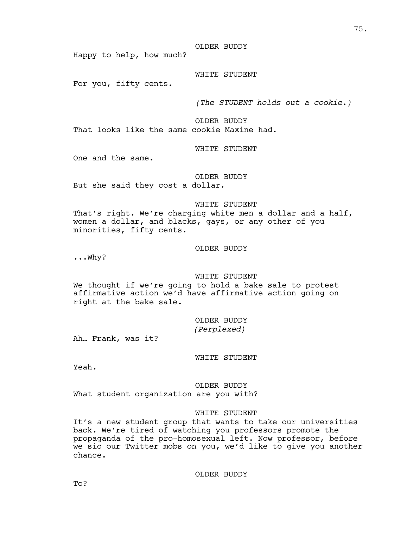OLDER BUDDY

Happy to help, how much?

# WHITE STUDENT

For you, fifty cents.

*(The STUDENT holds out a cookie.)*

OLDER BUDDY That looks like the same cookie Maxine had.

### WHITE STUDENT

One and the same.

# OLDER BUDDY

But she said they cost a dollar.

### WHITE STUDENT

That's right. We're charging white men a dollar and a half, women a dollar, and blacks, gays, or any other of you minorities, fifty cents.

### OLDER BUDDY

...Why?

## WHITE STUDENT

We thought if we're going to hold a bake sale to protest affirmative action we'd have affirmative action going on right at the bake sale.

> OLDER BUDDY *(Perplexed)*

Ah… Frank, was it?

WHITE STUDENT

Yeah.

### OLDER BUDDY

What student organization are you with?

### WHITE STUDENT

It's a new student group that wants to take our universities back. We're tired of watching you professors promote the propaganda of the pro-homosexual left. Now professor, before we sic our Twitter mobs on you, we'd like to give you another chance.

OLDER BUDDY

To?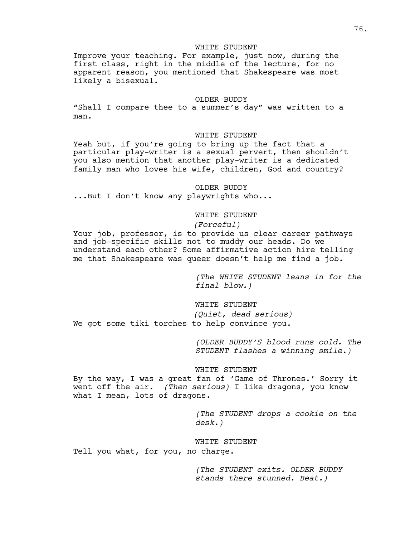### WHITE STUDENT

Improve your teaching. For example, just now, during the first class, right in the middle of the lecture, for no apparent reason, you mentioned that Shakespeare was most likely a bisexual.

#### OLDER BUDDY

"Shall I compare thee to a summer's day" was written to a man.

## WHITE STUDENT

Yeah but, if you're going to bring up the fact that a particular play-writer is a sexual pervert, then shouldn't you also mention that another play-writer is a dedicated family man who loves his wife, children, God and country?

#### OLDER BUDDY

...But I don't know any playwrights who...

## WHITE STUDENT

# *(Forceful)*

Your job, professor, is to provide us clear career pathways and job-specific skills not to muddy our heads. Do we understand each other? Some affirmative action hire telling me that Shakespeare was queer doesn't help me find a job.

> *(The WHITE STUDENT leans in for the final blow.)*

#### WHITE STUDENT

*(Quiet, dead serious)* We got some tiki torches to help convince you.

> *(OLDER BUDDY'S blood runs cold. The STUDENT flashes a winning smile.)*

### WHITE STUDENT

By the way, I was a great fan of 'Game of Thrones.' Sorry it went off the air. *(Then serious)* I like dragons, you know what I mean, lots of dragons.

> *(The STUDENT drops a cookie on the desk.)*

#### WHITE STUDENT

Tell you what, for you, no charge.

*(The STUDENT exits. OLDER BUDDY stands there stunned. Beat.)*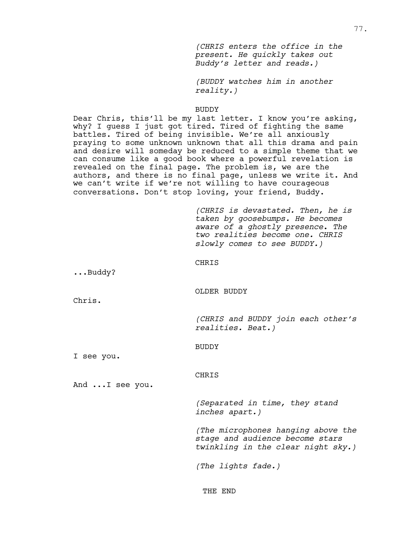*(CHRIS enters the office in the present. He quickly takes out Buddy's letter and reads.)*

*(BUDDY watches him in another reality.)*

#### BUDDY

Dear Chris, this'll be my last letter. I know you're asking, why? I guess I just got tired. Tired of fighting the same battles. Tired of being invisible. We're all anxiously praying to some unknown unknown that all this drama and pain and desire will someday be reduced to a simple theme that we can consume like a good book where a powerful revelation is revealed on the final page. The problem is, we are the authors, and there is no final page, unless we write it. And we can't write if we're not willing to have courageous conversations. Don't stop loving, your friend, Buddy.

> *(CHRIS is devastated. Then, he is taken by goosebumps. He becomes aware of a ghostly presence. The two realities become one. CHRIS slowly comes to see BUDDY.)*

#### CHRIS

...Buddy?

#### OLDER BUDDY

Chris.

*(CHRIS and BUDDY join each other's realities. Beat.)*

BUDDY

I see you.

CHRIS

And ...I see you.

*(Separated in time, they stand inches apart.)*

*(The microphones hanging above the stage and audience become stars twinkling in the clear night sky.)*

*(The lights fade.)*

THE END